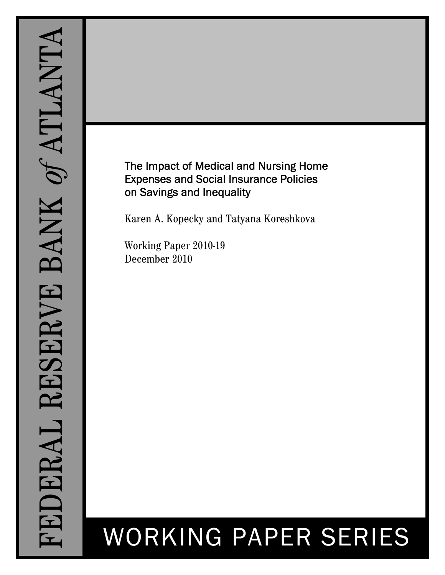# The Impact of Medical and Nursing Home Expenses and Social Insurance Policies on Savings and Inequality

Karen A. Kopecky and Tatyana Koreshkova

Working Paper 2010-19 December 2010

# WORKING PAPER SERIES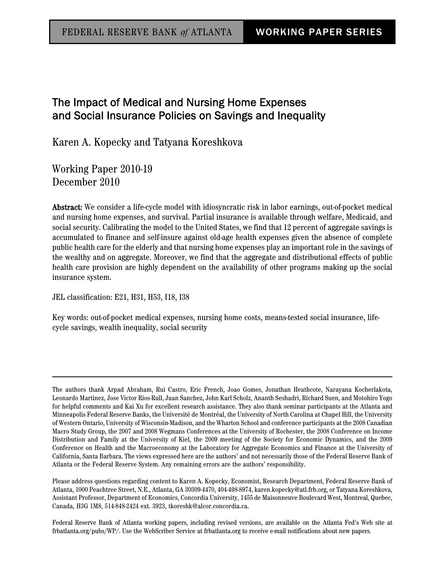# The Impact of Medical and Nursing Home Expenses and Social Insurance Policies on Savings and Inequality

Karen A. Kopecky and Tatyana Koreshkova

Working Paper 2010-19 December 2010

Abstract: We consider a life-cycle model with idiosyncratic risk in labor earnings, out-of-pocket medical and nursing home expenses, and survival. Partial insurance is available through welfare, Medicaid, and social security. Calibrating the model to the United States, we find that 12 percent of aggregate savings is accumulated to finance and self-insure against old-age health expenses given the absence of complete public health care for the elderly and that nursing home expenses play an important role in the savings of the wealthy and on aggregate. Moreover, we find that the aggregate and distributional effects of public health care provision are highly dependent on the availability of other programs making up the social insurance system.

JEL classification: E21, H31, H53, I18, I38

Key words: out-of-pocket medical expenses, nursing home costs, means-tested social insurance, lifecycle savings, wealth inequality, social security

Please address questions regarding content to Karen A. Kopecky, Economist, Research Department, Federal Reserve Bank of Atlanta, 1000 Peachtree Street, N.E., Atlanta, GA 30309-4470, 404-498-8974, karen.kopecky@atl.frb.org, or Tatyana Koreshkova, Assistant Professor, Department of Economics, Concordia University, 1455 de Maisonneuve Boulevard West, Montreal, Quebec, Canada, H3G 1M8, 514-848-2424 ext. 3923, tkoreshk@alcor.concordia.ca.

Federal Reserve Bank of Atlanta working papers, including revised versions, are available on the Atlanta Fed's Web site at frbatlanta.org/pubs/WP/. Use the WebScriber Service at frbatlanta.org to receive e-mail notifications about new papers.

The authors thank Arpad Abraham, Rui Castro, Eric French, Joao Gomes, Jonathan Heathcote, Narayana Kocherlakota, Leonardo Martinez, Jose Victor Rios-Rull, Juan Sanchez, John Karl Scholz, Ananth Seshadri, Richard Suen, and Motohiro Yogo for helpful comments and Kai Xu for excellent research assistance. They also thank seminar participants at the Atlanta and Minneapolis Federal Reserve Banks, the Université de Montréal, the University of North Carolina at Chapel Hill, the University of Western Ontario, University of Wisconsin-Madison, and the Wharton School and conference participants at the 2008 Canadian Macro Study Group, the 2007 and 2008 Wegmans Conferences at the University of Rochester, the 2008 Conference on Income Distribution and Family at the University of Kiel, the 2009 meeting of the Society for Economic Dynamics, and the 2009 Conference on Health and the Macroeconomy at the Laboratory for Aggregate Economics and Finance at the University of California, Santa Barbara. The views expressed here are the authors' and not necessarily those of the Federal Reserve Bank of Atlanta or the Federal Reserve System. Any remaining errors are the authors' responsibility.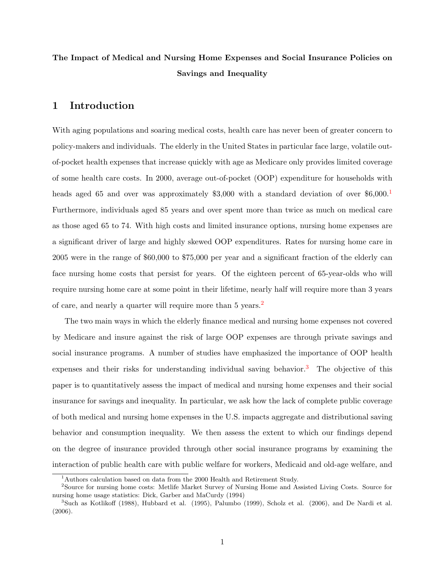# **The Impact of Medical and Nursing Home Expenses and Social Insurance Policies on Savings and Inequality**

## **1 Introduction**

With aging populations and soaring medical costs, health care has never been of greater concern to policy-makers and individuals. The elderly in the United States in particular face large, volatile outof-pocket health expenses that increase quickly with age as Medicare only provides limited coverage of some health care costs. In 2000, average out-of-pocket (OOP) expenditure for households with heads aged 65 and over was approximately \$3,000 with a standard deviation of over \$6,000. Furthermore, individuals aged 85 years and over spent more than twice as much on medical care as those aged 65 to 74. With high costs and limited insurance options, nursing home expenses are a significant driver of large and highly skewed OOP expenditures. Rates for nursing home care in 2005 were in the range of \$60,000 to \$75,000 per year and a significant fraction of the elderly can face nursing home costs that persist for years. Of the eighteen percent of 65-year-olds who will require nursing home care at some point in their lifetime, nearly half will require more than 3 years of care, and nearly a quarter will require more than 5 years.<sup>2</sup>

The two main ways in which the elderly finance medical and nursing home expenses not covered by Medicare and insure against the risk of large OOP expenses are through private savings and social insurance programs. A number of studies have emphasized the importance of OOP health expenses and their risks for understanding individual saving behavior.<sup>3</sup> The objective of this paper is to quantitatively assess the impact of medical and nursing home expenses and their social insurance for savings and inequality. In particular, we ask how the lack of complete public coverage of both medical and nursing home expenses in the U.S. impacts aggregate and distributional saving behavior and consumption inequality. We then assess the extent to which our findings depend on the degree of insurance provided through other social insurance programs by examining the interaction of public health care with public welfare for workers, Medicaid and old-age welfare, and

<sup>&</sup>lt;sup>1</sup>Authors calculation based on data from the 2000 Health and Retirement Study.

<sup>2</sup>Source for nursing home costs: Metlife Market Survey of Nursing Home and Assisted Living Costs. Source for nursing home usage statistics: Dick, Garber and MaCurdy (1994)

<sup>3</sup>Such as Kotlikoff (1988), Hubbard et al. (1995), Palumbo (1999), Scholz et al. (2006), and De Nardi et al. (2006).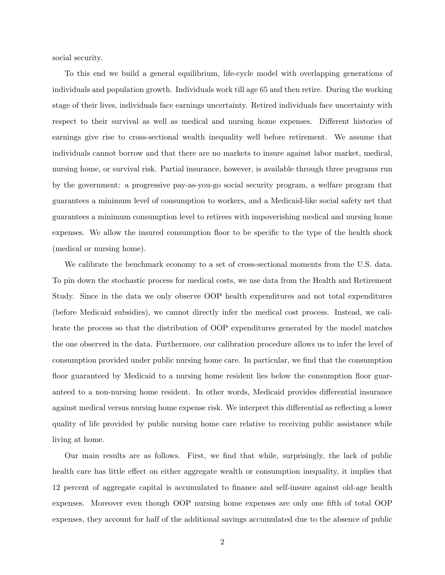social security.

To this end we build a general equilibrium, life-cycle model with overlapping generations of individuals and population growth. Individuals work till age 65 and then retire. During the working stage of their lives, individuals face earnings uncertainty. Retired individuals face uncertainty with respect to their survival as well as medical and nursing home expenses. Different histories of earnings give rise to cross-sectional wealth inequality well before retirement. We assume that individuals cannot borrow and that there are no markets to insure against labor market, medical, nursing home, or survival risk. Partial insurance, however, is available through three programs run by the government: a progressive pay-as-you-go social security program, a welfare program that guarantees a minimum level of consumption to workers, and a Medicaid-like social safety net that guarantees a minimum consumption level to retirees with impoverishing medical and nursing home expenses. We allow the insured consumption floor to be specific to the type of the health shock (medical or nursing home).

We calibrate the benchmark economy to a set of cross-sectional moments from the U.S. data. To pin down the stochastic process for medical costs, we use data from the Health and Retirement Study. Since in the data we only observe OOP health expenditures and not total expenditures (before Medicaid subsidies), we cannot directly infer the medical cost process. Instead, we calibrate the process so that the distribution of OOP expenditures generated by the model matches the one observed in the data. Furthermore, our calibration procedure allows us to infer the level of consumption provided under public nursing home care. In particular, we find that the consumption floor guaranteed by Medicaid to a nursing home resident lies below the consumption floor guaranteed to a non-nursing home resident. In other words, Medicaid provides differential insurance against medical versus nursing home expense risk. We interpret this differential as reflecting a lower quality of life provided by public nursing home care relative to receiving public assistance while living at home.

Our main results are as follows. First, we find that while, surprisingly, the lack of public health care has little effect on either aggregate wealth or consumption inequality, it implies that 12 percent of aggregate capital is accumulated to finance and self-insure against old-age health expenses. Moreover even though OOP nursing home expenses are only one fifth of total OOP expenses, they account for half of the additional savings accumulated due to the absence of public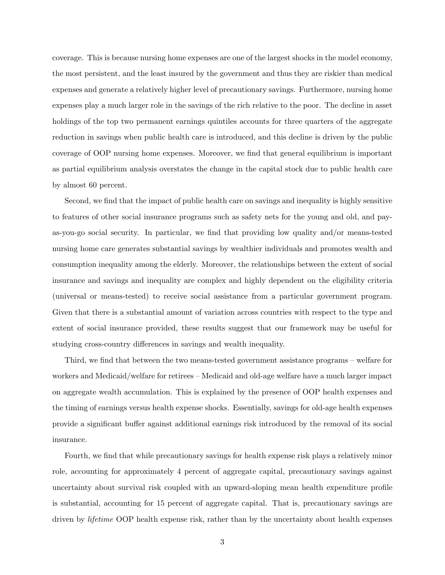coverage. This is because nursing home expenses are one of the largest shocks in the model economy, the most persistent, and the least insured by the government and thus they are riskier than medical expenses and generate a relatively higher level of precautionary savings. Furthermore, nursing home expenses play a much larger role in the savings of the rich relative to the poor. The decline in asset holdings of the top two permanent earnings quintiles accounts for three quarters of the aggregate reduction in savings when public health care is introduced, and this decline is driven by the public coverage of OOP nursing home expenses. Moreover, we find that general equilibrium is important as partial equilibrium analysis overstates the change in the capital stock due to public health care by almost 60 percent.

Second, we find that the impact of public health care on savings and inequality is highly sensitive to features of other social insurance programs such as safety nets for the young and old, and payas-you-go social security. In particular, we find that providing low quality and/or means-tested nursing home care generates substantial savings by wealthier individuals and promotes wealth and consumption inequality among the elderly. Moreover, the relationships between the extent of social insurance and savings and inequality are complex and highly dependent on the eligibility criteria (universal or means-tested) to receive social assistance from a particular government program. Given that there is a substantial amount of variation across countries with respect to the type and extent of social insurance provided, these results suggest that our framework may be useful for studying cross-country differences in savings and wealth inequality.

Third, we find that between the two means-tested government assistance programs – welfare for workers and Medicaid/welfare for retirees – Medicaid and old-age welfare have a much larger impact on aggregate wealth accumulation. This is explained by the presence of OOP health expenses and the timing of earnings versus health expense shocks. Essentially, savings for old-age health expenses provide a significant buffer against additional earnings risk introduced by the removal of its social insurance.

Fourth, we find that while precautionary savings for health expense risk plays a relatively minor role, accounting for approximately 4 percent of aggregate capital, precautionary savings against uncertainty about survival risk coupled with an upward-sloping mean health expenditure profile is substantial, accounting for 15 percent of aggregate capital. That is, precautionary savings are driven by *lifetime* OOP health expense risk, rather than by the uncertainty about health expenses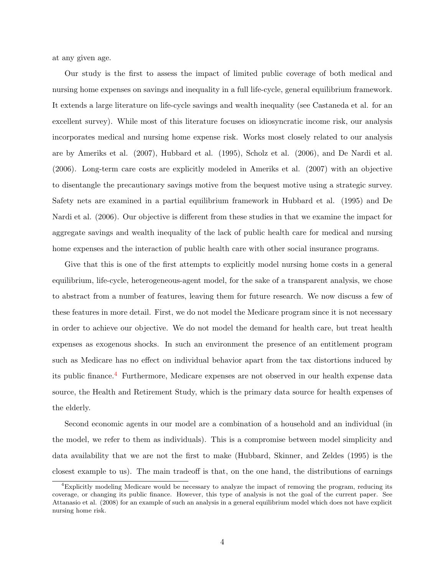at any given age.

Our study is the first to assess the impact of limited public coverage of both medical and nursing home expenses on savings and inequality in a full life-cycle, general equilibrium framework. It extends a large literature on life-cycle savings and wealth inequality (see Castaneda et al. for an excellent survey). While most of this literature focuses on idiosyncratic income risk, our analysis incorporates medical and nursing home expense risk. Works most closely related to our analysis are by Ameriks et al. (2007), Hubbard et al. (1995), Scholz et al. (2006), and De Nardi et al. (2006). Long-term care costs are explicitly modeled in Ameriks et al. (2007) with an objective to disentangle the precautionary savings motive from the bequest motive using a strategic survey. Safety nets are examined in a partial equilibrium framework in Hubbard et al. (1995) and De Nardi et al. (2006). Our objective is different from these studies in that we examine the impact for aggregate savings and wealth inequality of the lack of public health care for medical and nursing home expenses and the interaction of public health care with other social insurance programs.

Give that this is one of the first attempts to explicitly model nursing home costs in a general equilibrium, life-cycle, heterogeneous-agent model, for the sake of a transparent analysis, we chose to abstract from a number of features, leaving them for future research. We now discuss a few of these features in more detail. First, we do not model the Medicare program since it is not necessary in order to achieve our objective. We do not model the demand for health care, but treat health expenses as exogenous shocks. In such an environment the presence of an entitlement program such as Medicare has no effect on individual behavior apart from the tax distortions induced by its public finance.<sup>4</sup> Furthermore, Medicare expenses are not observed in our health expense data source, the Health and Retirement Study, which is the primary data source for health expenses of the elderly.

Second economic agents in our model are a combination of a household and an individual (in the model, we refer to them as individuals). This is a compromise between model simplicity and data availability that we are not the first to make (Hubbard, Skinner, and Zeldes (1995) is the closest example to us). The main tradeoff is that, on the one hand, the distributions of earnings

<sup>&</sup>lt;sup>4</sup>Explicitly modeling Medicare would be necessary to analyze the impact of removing the program, reducing its coverage, or changing its public finance. However, this type of analysis is not the goal of the current paper. See Attanasio et al. (2008) for an example of such an analysis in a general equilibrium model which does not have explicit nursing home risk.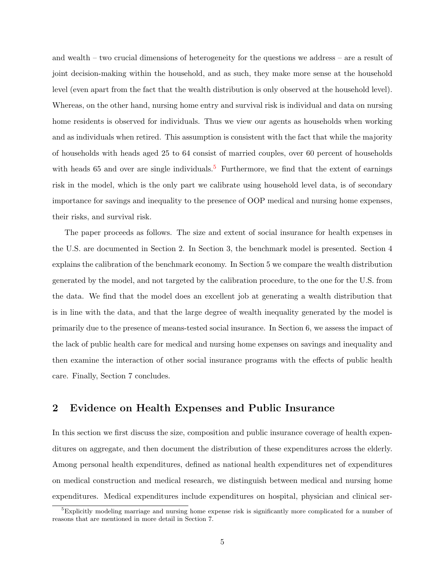and wealth – two crucial dimensions of heterogeneity for the questions we address – are a result of joint decision-making within the household, and as such, they make more sense at the household level (even apart from the fact that the wealth distribution is only observed at the household level). Whereas, on the other hand, nursing home entry and survival risk is individual and data on nursing home residents is observed for individuals. Thus we view our agents as households when working and as individuals when retired. This assumption is consistent with the fact that while the majority of households with heads aged 25 to 64 consist of married couples, over 60 percent of households with heads 65 and over are single individuals.<sup>5</sup> Furthermore, we find that the extent of earnings risk in the model, which is the only part we calibrate using household level data, is of secondary importance for savings and inequality to the presence of OOP medical and nursing home expenses, their risks, and survival risk.

The paper proceeds as follows. The size and extent of social insurance for health expenses in the U.S. are documented in Section 2. In Section 3, the benchmark model is presented. Section 4 explains the calibration of the benchmark economy. In Section 5 we compare the wealth distribution generated by the model, and not targeted by the calibration procedure, to the one for the U.S. from the data. We find that the model does an excellent job at generating a wealth distribution that is in line with the data, and that the large degree of wealth inequality generated by the model is primarily due to the presence of means-tested social insurance. In Section 6, we assess the impact of the lack of public health care for medical and nursing home expenses on savings and inequality and then examine the interaction of other social insurance programs with the effects of public health care. Finally, Section 7 concludes.

# **2 Evidence on Health Expenses and Public Insurance**

In this section we first discuss the size, composition and public insurance coverage of health expenditures on aggregate, and then document the distribution of these expenditures across the elderly. Among personal health expenditures, defined as national health expenditures net of expenditures on medical construction and medical research, we distinguish between medical and nursing home expenditures. Medical expenditures include expenditures on hospital, physician and clinical ser-

<sup>&</sup>lt;sup>5</sup>Explicitly modeling marriage and nursing home expense risk is significantly more complicated for a number of reasons that are mentioned in more detail in Section 7.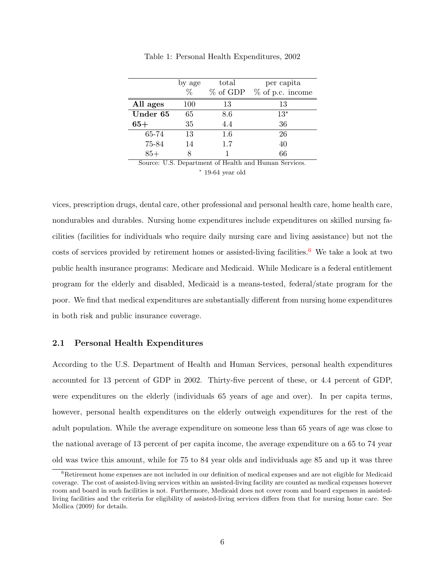|          | by age | total      | per capita                                            |
|----------|--------|------------|-------------------------------------------------------|
|          | $\%$   | $%$ of GDP | $\%$ of p.c. income                                   |
| All ages | 100    | 13         | 13                                                    |
| Under 65 | 65     | 8.6        | $13*$                                                 |
| $65+$    | 35     | 4.4        | 36                                                    |
| 65-74    | 13     | 1.6        | 26                                                    |
| 75-84    | 14     | 1.7        | 40                                                    |
| $85+$    | 8      |            | 66                                                    |
|          |        |            | Source: U.S. Department of Health and Human Services. |

Table 1: Personal Health Expenditures, 2002

*∗* 19-64 year old

vices, prescription drugs, dental care, other professional and personal health care, home health care, nondurables and durables. Nursing home expenditures include expenditures on skilled nursing facilities (facilities for individuals who require daily nursing care and living assistance) but not the costs of services provided by retirement homes or assisted-living facilities.<sup>6</sup> We take a look at two public health insurance programs: Medicare and Medicaid. While Medicare is a federal entitlement program for the elderly and disabled, Medicaid is a means-tested, federal/state program for the poor. We find that medical expenditures are substantially different from nursing home expenditures in both risk and public insurance coverage.

#### **2.1 Personal Health Expenditures**

According to the U.S. Department of Health and Human Services, personal health expenditures accounted for 13 percent of GDP in 2002. Thirty-five percent of these, or 4.4 percent of GDP, were expenditures on the elderly (individuals 65 years of age and over). In per capita terms, however, personal health expenditures on the elderly outweigh expenditures for the rest of the adult population. While the average expenditure on someone less than 65 years of age was close to the national average of 13 percent of per capita income, the average expenditure on a 65 to 74 year old was twice this amount, while for 75 to 84 year olds and individuals age 85 and up it was three

 ${}^{6}$ Retirement home expenses are not included in our definition of medical expenses and are not eligible for Medicaid coverage. The cost of assisted-living services within an assisted-living facility are counted as medical expenses however room and board in such facilities is not. Furthermore, Medicaid does not cover room and board expenses in assistedliving facilities and the criteria for eligibility of assisted-living services differs from that for nursing home care. See Mollica (2009) for details.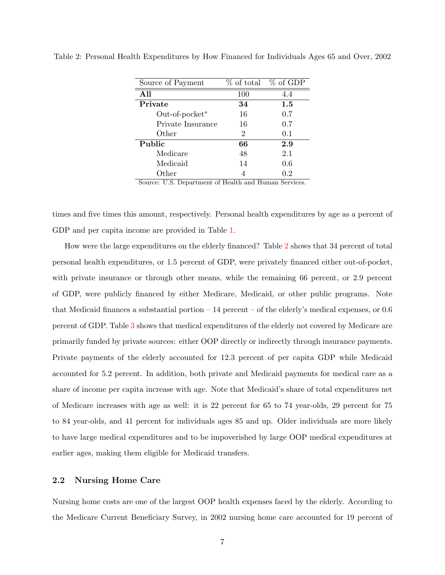| Source of Payment |                | % of total % of GDP |
|-------------------|----------------|---------------------|
| A <sub>11</sub>   | 100            | 4.4                 |
| Private           | 34             | $1.5\,$             |
| $Out-of-pocket^*$ | 16             | 0.7                 |
| Private Insurance | 16             | 0.7                 |
| Other             | $\mathfrak{D}$ | 0.1                 |
| Public            | 66             | 2.9                 |
| Medicare          | 48             | 2.1                 |
| Medicaid          | 14             | 0.6                 |
| )ther             |                | 0.2                 |

Table 2: Personal Health Expenditures by How Financed for Individuals Ages 65 and Over, 2002

Source: U.S. Department of Health and Human Services.

times and five times this amount, respectively. Personal health expenditures by age as a percent of GDP and per capita income are provided in Table 1.

How were the large expenditures on the elderly financed? Table 2 shows that 34 percent of total personal health expenditures, or 1.5 percent of GDP, were privately financed either out-of-pocket, with private insurance or through other means, while the remaining 66 percent, or 2.9 percent of GDP, were publicly financed by either Medicare, Medicaid, or other public programs. Note that Medicaid finances a substantial portion – 14 percent – of the elderly's medical expenses, or 0.6 percent of GDP. Table 3 shows that medical expenditures of the elderly not covered by Medicare are primarily funded by private sources: either OOP directly or indirectly through insurance payments. Private payments of the elderly accounted for 12.3 percent of per capita GDP while Medicaid accounted for 5.2 percent. In addition, both private and Medicaid payments for medical care as a share of income per capita increase with age. Note that Medicaid's share of total expenditures net of Medicare increases with age as well: it is 22 percent for 65 to 74 year-olds, 29 percent for 75 to 84 year-olds, and 41 percent for individuals ages 85 and up. Older individuals are more likely to have large medical expenditures and to be impoverished by large OOP medical expenditures at earlier ages, making them eligible for Medicaid transfers.

#### **2.2 Nursing Home Care**

Nursing home costs are one of the largest OOP health expenses faced by the elderly. According to the Medicare Current Beneficiary Survey, in 2002 nursing home care accounted for 19 percent of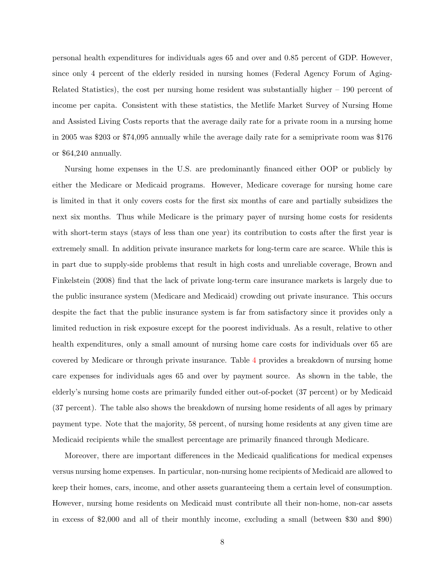personal health expenditures for individuals ages 65 and over and 0.85 percent of GDP. However, since only 4 percent of the elderly resided in nursing homes (Federal Agency Forum of Aging-Related Statistics), the cost per nursing home resident was substantially higher – 190 percent of income per capita. Consistent with these statistics, the Metlife Market Survey of Nursing Home and Assisted Living Costs reports that the average daily rate for a private room in a nursing home in 2005 was \$203 or \$74,095 annually while the average daily rate for a semiprivate room was \$176 or \$64,240 annually.

Nursing home expenses in the U.S. are predominantly financed either OOP or publicly by either the Medicare or Medicaid programs. However, Medicare coverage for nursing home care is limited in that it only covers costs for the first six months of care and partially subsidizes the next six months. Thus while Medicare is the primary payer of nursing home costs for residents with short-term stays (stays of less than one year) its contribution to costs after the first year is extremely small. In addition private insurance markets for long-term care are scarce. While this is in part due to supply-side problems that result in high costs and unreliable coverage, Brown and Finkelstein (2008) find that the lack of private long-term care insurance markets is largely due to the public insurance system (Medicare and Medicaid) crowding out private insurance. This occurs despite the fact that the public insurance system is far from satisfactory since it provides only a limited reduction in risk exposure except for the poorest individuals. As a result, relative to other health expenditures, only a small amount of nursing home care costs for individuals over 65 are covered by Medicare or through private insurance. Table 4 provides a breakdown of nursing home care expenses for individuals ages 65 and over by payment source. As shown in the table, the elderly's nursing home costs are primarily funded either out-of-pocket (37 percent) or by Medicaid (37 percent). The table also shows the breakdown of nursing home residents of all ages by primary payment type. Note that the majority, 58 percent, of nursing home residents at any given time are Medicaid recipients while the smallest percentage are primarily financed through Medicare.

Moreover, there are important differences in the Medicaid qualifications for medical expenses versus nursing home expenses. In particular, non-nursing home recipients of Medicaid are allowed to keep their homes, cars, income, and other assets guaranteeing them a certain level of consumption. However, nursing home residents on Medicaid must contribute all their non-home, non-car assets in excess of \$2,000 and all of their monthly income, excluding a small (between \$30 and \$90)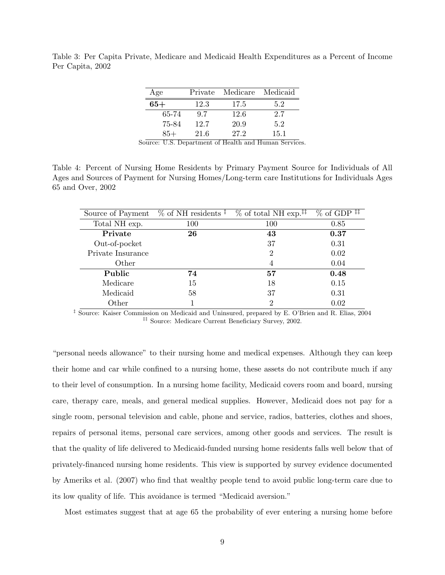Table 3: Per Capita Private, Medicare and Medicaid Health Expenditures as a Percent of Income Per Capita, 2002

| Age   | Private | Medicare | Medicaid |
|-------|---------|----------|----------|
| $65+$ | 12.3    | 17.5     | 5.2      |
| 65-74 | 9.7     | 12.6     | 2.7      |
| 75-84 | 12.7    | 20.9     | 5.2      |
| $85+$ | 21.6    | 27.2     | 15.1     |

Source: U.S. Department of Health and Human Services.

Table 4: Percent of Nursing Home Residents by Primary Payment Source for Individuals of All Ages and Sources of Payment for Nursing Homes/Long-term care Institutions for Individuals Ages 65 and Over, 2002

| Source of Payment | $\%$ of NH residents <sup>†</sup> | $\%$ of total NH exp. <sup>‡‡</sup> | $%$ of GDP $#$ |
|-------------------|-----------------------------------|-------------------------------------|----------------|
| Total NH exp.     | 100                               | 100                                 | 0.85           |
| Private           | 26                                | 43                                  | 0.37           |
| Out-of-pocket     |                                   | 37                                  | 0.31           |
| Private Insurance |                                   | $\overline{2}$                      | 0.02           |
| Other             |                                   | $\overline{4}$                      | 0.04           |
| Public            | 74                                | 57                                  | 0.48           |
| Medicare          | 15                                | 18                                  | 0.15           |
| Medicaid          | 58                                | 37                                  | 0.31           |
| Other             |                                   | $\overline{2}$                      | 0.02           |

<sup>‡</sup> Source: Kaiser Commission on Medicaid and Uninsured, prepared by E. O'Brien and R. Elias, 2004 *‡‡* Source: Medicare Current Beneficiary Survey, 2002.

"personal needs allowance" to their nursing home and medical expenses. Although they can keep their home and car while confined to a nursing home, these assets do not contribute much if any to their level of consumption. In a nursing home facility, Medicaid covers room and board, nursing care, therapy care, meals, and general medical supplies. However, Medicaid does not pay for a single room, personal television and cable, phone and service, radios, batteries, clothes and shoes, repairs of personal items, personal care services, among other goods and services. The result is that the quality of life delivered to Medicaid-funded nursing home residents falls well below that of privately-financed nursing home residents. This view is supported by survey evidence documented by Ameriks et al. (2007) who find that wealthy people tend to avoid public long-term care due to its low quality of life. This avoidance is termed "Medicaid aversion."

Most estimates suggest that at age 65 the probability of ever entering a nursing home before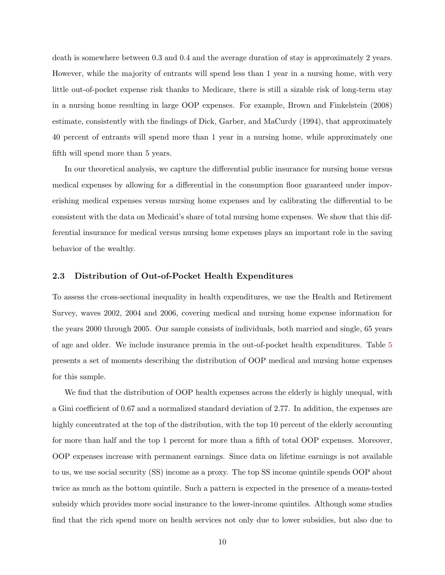death is somewhere between 0.3 and 0.4 and the average duration of stay is approximately 2 years. However, while the majority of entrants will spend less than 1 year in a nursing home, with very little out-of-pocket expense risk thanks to Medicare, there is still a sizable risk of long-term stay in a nursing home resulting in large OOP expenses. For example, Brown and Finkelstein (2008) estimate, consistently with the findings of Dick, Garber, and MaCurdy (1994), that approximately 40 percent of entrants will spend more than 1 year in a nursing home, while approximately one fifth will spend more than 5 years.

In our theoretical analysis, we capture the differential public insurance for nursing home versus medical expenses by allowing for a differential in the consumption floor guaranteed under impoverishing medical expenses versus nursing home expenses and by calibrating the differential to be consistent with the data on Medicaid's share of total nursing home expenses. We show that this differential insurance for medical versus nursing home expenses plays an important role in the saving behavior of the wealthy.

#### **2.3 Distribution of Out-of-Pocket Health Expenditures**

To assess the cross-sectional inequality in health expenditures, we use the Health and Retirement Survey, waves 2002, 2004 and 2006, covering medical and nursing home expense information for the years 2000 through 2005. Our sample consists of individuals, both married and single, 65 years of age and older. We include insurance premia in the out-of-pocket health expenditures. Table 5 presents a set of moments describing the distribution of OOP medical and nursing home expenses for this sample.

We find that the distribution of OOP health expenses across the elderly is highly unequal, with a Gini coefficient of 0.67 and a normalized standard deviation of 2.77. In addition, the expenses are highly concentrated at the top of the distribution, with the top 10 percent of the elderly accounting for more than half and the top 1 percent for more than a fifth of total OOP expenses. Moreover, OOP expenses increase with permanent earnings. Since data on lifetime earnings is not available to us, we use social security (SS) income as a proxy. The top SS income quintile spends OOP about twice as much as the bottom quintile. Such a pattern is expected in the presence of a means-tested subsidy which provides more social insurance to the lower-income quintiles. Although some studies find that the rich spend more on health services not only due to lower subsidies, but also due to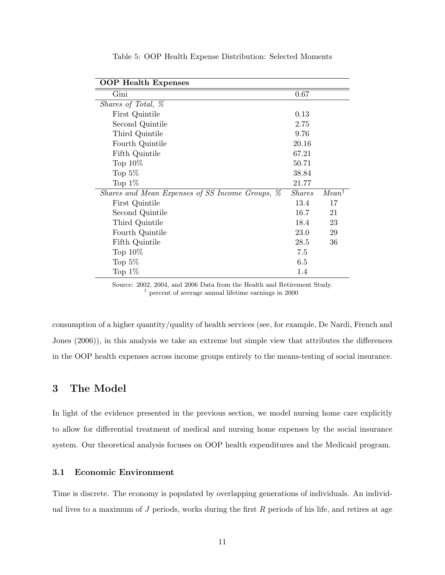| <b>OOP Health Expenses</b>                      |               |                  |
|-------------------------------------------------|---------------|------------------|
| Gini                                            | 0.67          |                  |
| Shares of Total, %                              |               |                  |
| First Quintile                                  | 0.13          |                  |
| Second Quintile                                 | 2.75          |                  |
| Third Quintile                                  | 9.76          |                  |
| Fourth Quintile                                 | 20.16         |                  |
| Fifth Quintile                                  | 67.21         |                  |
| Top $10\%$                                      | 50.71         |                  |
| Top $5\%$                                       | 38.84         |                  |
| Top $1\%$                                       | 21.77         |                  |
| Shares and Mean Expenses of SS Income Groups, % | <i>Shares</i> | $Mean^{\dagger}$ |
| First Quintile                                  | 13.4          | 17               |
| Second Quintile                                 | 16.7          | 21               |
| Third Quintile                                  | 18.4          | 23               |
| Fourth Quintile                                 | 23.0          | 29               |
| Fifth Quintile                                  | 28.5          | 36               |
| Top $10\%$                                      | 7.5           |                  |
| Top $5\%$                                       | 6.5           |                  |
| Top $1\%$                                       | 1.4           |                  |

Table 5: OOP Health Expense Distribution: Selected Moments

Source: 2002, 2004, and 2006 Data from the Health and Retirement Study. *†* percent of average annual lifetime earnings in 2000

consumption of a higher quantity/quality of health services (see, for example, De Nardi, French and Jones (2006)), in this analysis we take an extreme but simple view that attributes the differences in the OOP health expenses across income groups entirely to the means-testing of social insurance.

# **3 The Model**

In light of the evidence presented in the previous section, we model nursing home care explicitly to allow for differential treatment of medical and nursing home expenses by the social insurance system. Our theoretical analysis focuses on OOP health expenditures and the Medicaid program.

#### **3.1 Economic Environment**

Time is discrete. The economy is populated by overlapping generations of individuals. An individual lives to a maximum of *J* periods, works during the first *R* periods of his life, and retires at age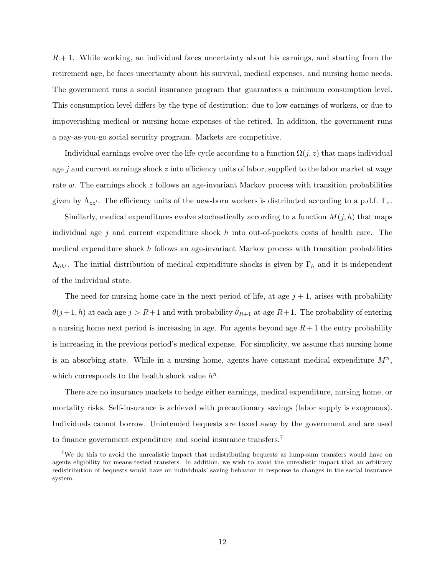*R* + 1. While working, an individual faces uncertainty about his earnings, and starting from the retirement age, he faces uncertainty about his survival, medical expenses, and nursing home needs. The government runs a social insurance program that guarantees a minimum consumption level. This consumption level differs by the type of destitution: due to low earnings of workers, or due to impoverishing medical or nursing home expenses of the retired. In addition, the government runs a pay-as-you-go social security program. Markets are competitive.

Individual earnings evolve over the life-cycle according to a function  $\Omega(j, z)$  that maps individual age *j* and current earnings shock *z* into efficiency units of labor, supplied to the labor market at wage rate *w*. The earnings shock *z* follows an age-invariant Markov process with transition probabilities given by Λ*zz′*. The efficiency units of the new-born workers is distributed according to a p.d.f. Γ*z*.

Similarly, medical expenditures evolve stochastically according to a function  $M(j, h)$  that maps individual age *j* and current expenditure shock *h* into out-of-pockets costs of health care. The medical expenditure shock *h* follows an age-invariant Markov process with transition probabilities Λ*hh′*. The initial distribution of medical expenditure shocks is given by Γ*<sup>h</sup>* and it is independent of the individual state.

The need for nursing home care in the next period of life, at age  $j + 1$ , arises with probability  $\theta(j+1,h)$  at each age  $j > R+1$  and with probability  $\bar{\theta}_{R+1}$  at age  $R+1$ . The probability of entering a nursing home next period is increasing in age. For agents beyond age  $R+1$  the entry probability is increasing in the previous period's medical expense. For simplicity, we assume that nursing home is an absorbing state. While in a nursing home, agents have constant medical expenditure  $M^n$ , which corresponds to the health shock value  $h^n$ .

There are no insurance markets to hedge either earnings, medical expenditure, nursing home, or mortality risks. Self-insurance is achieved with precautionary savings (labor supply is exogenous). Individuals cannot borrow. Unintended bequests are taxed away by the government and are used to finance government expenditure and social insurance transfers.<sup>7</sup>

<sup>7</sup>We do this to avoid the unrealistic impact that redistributing bequests as lump-sum transfers would have on agents eligibility for means-tested transfers. In addition, we wish to avoid the unrealistic impact that an arbitrary redistribution of bequests would have on individuals' saving behavior in response to changes in the social insurance system.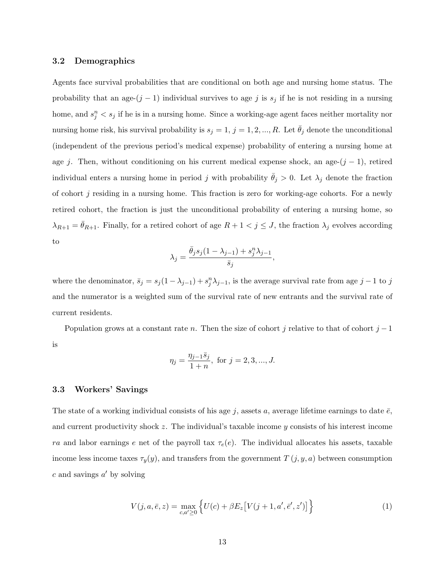#### **3.2 Demographics**

Agents face survival probabilities that are conditional on both age and nursing home status. The probability that an age- $(j - 1)$  individual survives to age *j* is  $s_j$  if he is not residing in a nursing home, and  $s_j^n < s_j$  if he is in a nursing home. Since a working-age agent faces neither mortality nor nursing home risk, his survival probability is  $s_j = 1, j = 1, 2, ..., R$ . Let  $\bar{\theta}_j$  denote the unconditional (independent of the previous period's medical expense) probability of entering a nursing home at age *j*. Then, without conditioning on his current medical expense shock, an age-(*j −* 1), retired individual enters a nursing home in period *j* with probability  $\bar{\theta}_j > 0$ . Let  $\lambda_j$  denote the fraction of cohort *j* residing in a nursing home. This fraction is zero for working-age cohorts. For a newly retired cohort, the fraction is just the unconditional probability of entering a nursing home, so  $\lambda_{R+1} = \bar{\theta}_{R+1}$ . Finally, for a retired cohort of age  $R+1 < j \leq J$ , the fraction  $\lambda_j$  evolves according to

$$
\lambda_j = \frac{\bar{\theta}_js_j(1-\lambda_{j-1})+s_j^n\lambda_{j-1}}{\bar{s}_j},
$$

where the denominator,  $\bar{s}_j = s_j(1 - \lambda_{j-1}) + s_j^n \lambda_{j-1}$ , is the average survival rate from age  $j - 1$  to  $j$ and the numerator is a weighted sum of the survival rate of new entrants and the survival rate of current residents.

Population grows at a constant rate *n*. Then the size of cohort *j* relative to that of cohort *j −* 1 is

$$
\eta_j = \frac{\eta_{j-1}\bar{s}_j}{1+n}, \text{ for } j = 2, 3, ..., J.
$$

#### **3.3 Workers' Savings**

The state of a working individual consists of his age  $j$ , assets  $a$ , average lifetime earnings to date  $\bar{e}$ , and current productivity shock *z*. The individual's taxable income *y* consists of his interest income *ra* and labor earnings *e* net of the payroll tax  $\tau_e(e)$ . The individual allocates his assets, taxable income less income taxes  $\tau_y(y)$ , and transfers from the government  $T(j, y, a)$  between consumption *c* and savings *a ′* by solving

$$
V(j, a, \bar{e}, z) = \max_{c, a' \ge 0} \left\{ U(c) + \beta E_z \left[ V(j + 1, a', \bar{e}', z') \right] \right\}
$$
 (1)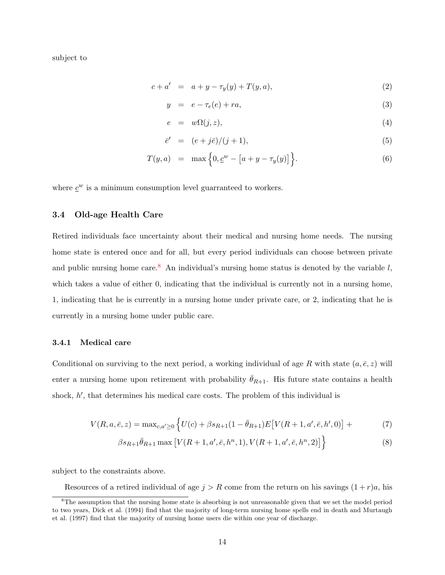subject to

$$
c + a' = a + y - \tau_y(y) + T(y, a), \tag{2}
$$

$$
y = e - \tau_e(e) + ra,\tag{3}
$$

$$
e = w\Omega(j, z), \tag{4}
$$

$$
\bar{e}' = (e + j\bar{e})/(j+1),\tag{5}
$$

$$
T(y, a) = \max \left\{ 0, \underline{c}^w - [a + y - \tau_y(y)] \right\}.
$$
 (6)

where  $\underline{c}^w$  is a minimum consumption level guarranteed to workers.

#### **3.4 Old-age Health Care**

Retired individuals face uncertainty about their medical and nursing home needs. The nursing home state is entered once and for all, but every period individuals can choose between private and public nursing home care.<sup>8</sup> An individual's nursing home status is denoted by the variable  $l$ , which takes a value of either 0, indicating that the individual is currently not in a nursing home, 1, indicating that he is currently in a nursing home under private care, or 2, indicating that he is currently in a nursing home under public care.

#### **3.4.1 Medical care**

Conditional on surviving to the next period, a working individual of age R with state  $(a, \bar{e}, z)$  will enter a nursing home upon retirement with probability  $\bar{\theta}_{R+1}$ . His future state contains a health shock,  $h'$ , that determines his medical care costs. The problem of this individual is

$$
V(R, a, \bar{e}, z) = \max_{c, a' \ge 0} \left\{ U(c) + \beta s_{R+1} (1 - \bar{\theta}_{R+1}) E\big[ V(R+1, a', \bar{e}, h', 0) \big] + \right\}
$$
(7)

$$
\beta s_{R+1} \bar{\theta}_{R+1} \max \left[ V(R+1, a', \bar{e}, h^n, 1), V(R+1, a', \bar{e}, h^n, 2) \right] \tag{8}
$$

subject to the constraints above.

Resources of a retired individual of age  $j > R$  come from the return on his savings  $(1 + r)a$ , his

<sup>8</sup>The assumption that the nursing home state is absorbing is not unreasonable given that we set the model period to two years, Dick et al. (1994) find that the majority of long-term nursing home spells end in death and Murtaugh et al. (1997) find that the majority of nursing home users die within one year of discharge.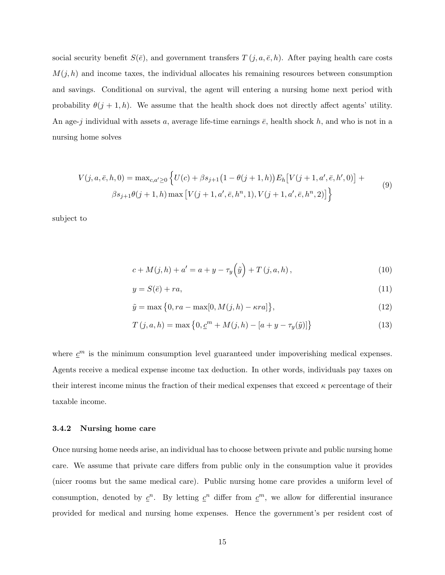social security benefit  $S(\bar{e})$ , and government transfers  $T(j, a, \bar{e}, h)$ . After paying health care costs  $M(j, h)$  and income taxes, the individual allocates his remaining resources between consumption and savings. Conditional on survival, the agent will entering a nursing home next period with probability  $\theta(j+1,h)$ . We assume that the health shock does not directly affect agents' utility. An age-*j* individual with assets *a*, average life-time earnings  $\bar{e}$ , health shock *h*, and who is not in a nursing home solves

$$
V(j, a, \bar{e}, h, 0) = \max_{c, a' \ge 0} \left\{ U(c) + \beta s_{j+1} \left( 1 - \theta(j+1, h) \right) E_h \left[ V(j+1, a', \bar{e}, h', 0) \right] + \beta s_{j+1} \theta(j+1, h) \max \left[ V(j+1, a', \bar{e}, h^n, 1), V(j+1, a', \bar{e}, h^n, 2) \right] \right\}
$$
(9)

subject to

$$
c + M(j, h) + a' = a + y - \tau_y(\tilde{y}) + T(j, a, h),
$$
\n(10)

$$
y = S(\bar{e}) + ra,\tag{11}
$$

$$
\tilde{y} = \max\left\{0, ra - \max[0, M(j, h) - \kappa r a]\right\},\tag{12}
$$

$$
T(j, a, h) = \max \{0, \underline{c}^{m} + M(j, h) - [a + y - \tau_y(\tilde{y})] \}
$$
\n(13)

where  $\mathbf{c}^m$  is the minimum consumption level guaranteed under impoverishing medical expenses. Agents receive a medical expense income tax deduction. In other words, individuals pay taxes on their interest income minus the fraction of their medical expenses that exceed *κ* percentage of their taxable income.

#### **3.4.2 Nursing home care**

Once nursing home needs arise, an individual has to choose between private and public nursing home care. We assume that private care differs from public only in the consumption value it provides (nicer rooms but the same medical care). Public nursing home care provides a uniform level of consumption, denoted by  $\underline{c}^n$ . By letting  $\underline{c}^n$  differ from  $\underline{c}^m$ , we allow for differential insurance provided for medical and nursing home expenses. Hence the government's per resident cost of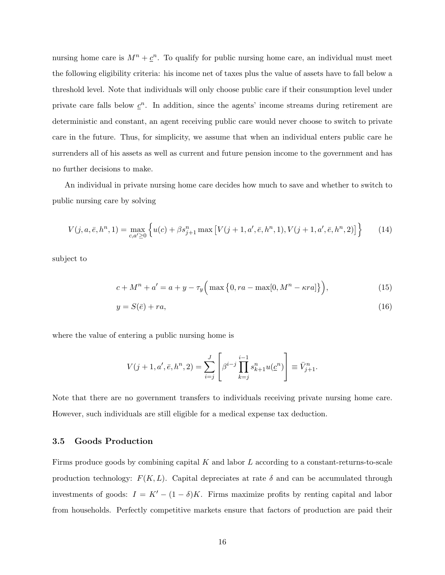nursing home care is  $M^n + \underline{c}^n$ . To qualify for public nursing home care, an individual must meet the following eligibility criteria: his income net of taxes plus the value of assets have to fall below a threshold level. Note that individuals will only choose public care if their consumption level under private care falls below  $\underline{c}^n$ . In addition, since the agents' income streams during retirement are deterministic and constant, an agent receiving public care would never choose to switch to private care in the future. Thus, for simplicity, we assume that when an individual enters public care he surrenders all of his assets as well as current and future pension income to the government and has no further decisions to make.

An individual in private nursing home care decides how much to save and whether to switch to public nursing care by solving

$$
V(j, a, \bar{e}, h^n, 1) = \max_{c, a' \ge 0} \left\{ u(c) + \beta s_{j+1}^n \max \left[ V(j+1, a', \bar{e}, h^n, 1), V(j+1, a', \bar{e}, h^n, 2) \right] \right\}
$$
(14)

subject to

$$
c + Mn + a' = a + y - \tau_y \Big( \max\big\{0, ra - \max[0, Mn - \kappa r a]\big\} \Big),\tag{15}
$$

$$
y = S(\bar{e}) + ra,\tag{16}
$$

where the value of entering a public nursing home is

$$
V(j+1, a', \bar{e}, h^n, 2) = \sum_{i=j}^{J} \left[ \beta^{i-j} \prod_{k=j}^{i-1} s_{k+1}^n u(\underline{c}^n) \right] \equiv \bar{V}_{j+1}^n.
$$

Note that there are no government transfers to individuals receiving private nursing home care. However, such individuals are still eligible for a medical expense tax deduction.

#### **3.5 Goods Production**

Firms produce goods by combining capital *K* and labor *L* according to a constant-returns-to-scale production technology:  $F(K, L)$ . Capital depreciates at rate  $\delta$  and can be accumulated through investments of goods:  $I = K' - (1 - \delta)K$ . Firms maximize profits by renting capital and labor from households. Perfectly competitive markets ensure that factors of production are paid their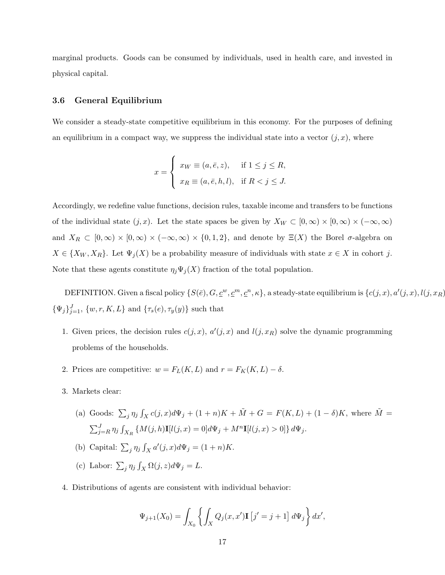marginal products. Goods can be consumed by individuals, used in health care, and invested in physical capital.

#### **3.6 General Equilibrium**

We consider a steady-state competitive equilibrium in this economy. For the purposes of defining an equilibrium in a compact way, we suppress the individual state into a vector  $(j, x)$ , where

$$
x = \begin{cases} x_W \equiv (a, \bar{e}, z), & \text{if } 1 \le j \le R, \\ x_R \equiv (a, \bar{e}, h, l), & \text{if } R < j \le J. \end{cases}
$$

Accordingly, we redefine value functions, decision rules, taxable income and transfers to be functions of the individual state  $(j, x)$ . Let the state spaces be given by  $X_W \subset [0, \infty) \times [0, \infty) \times (-\infty, \infty)$ and  $X_R \subset [0, \infty) \times [0, \infty) \times (-\infty, \infty) \times \{0, 1, 2\}$ , and denote by  $\Xi(X)$  the Borel  $\sigma$ -algebra on  $X \in \{X_W, X_R\}$ . Let  $\Psi_j(X)$  be a probability measure of individuals with state  $x \in X$  in cohort *j*. Note that these agents constitute  $\eta_j \Psi_j(X)$  fraction of the total population.

DEFINITION. Given a fiscal policy  $\{S(\bar{e}), G, \underline{c}^w, \underline{c}^m, \underline{c}^n, \kappa\}$ , a steady-state equilibrium is  $\{c(j, x), a'(j, x), l(j, x_R)\}$  $\{\Psi_j\}_{j=1}^J$ ,  $\{w, r, K, L\}$  and  $\{\tau_s(e), \tau_y(y)\}$  such that

- 1. Given prices, the decision rules  $c(j, x)$ ,  $a'(j, x)$  and  $l(j, x_R)$  solve the dynamic programming problems of the households.
- 2. Prices are competitive:  $w = F_L(K, L)$  and  $r = F_K(K, L) \delta$ .
- 3. Markets clear:
	- (a) Goods:  $\sum_{j} \eta_j \int_X c(j, x) d\Psi_j + (1 + n)K + \tilde{M} + G = F(K, L) + (1 \delta)K$ , where  $\tilde{M} =$  $\sum_{j=R}^{J} \eta_j \int_{X_R} \{M(j,h) \mathbf{I}[l(j,x) = 0] d\Psi_j + M^n \mathbf{I}[l(j,x) > 0] \} d\Psi_j.$
	- (b) Capital:  $\sum_{j} \eta_{j} \int_{X} a'(j, x) d\Psi_{j} = (1 + n)K$ .
	- (c) Labor:  $\sum_{j} \eta_j \int_X \Omega(j, z) d\Psi_j = L.$
- 4. Distributions of agents are consistent with individual behavior:

$$
\Psi_{j+1}(X_0) = \int_{X_0} \left\{ \int_X Q_j(x, x') \mathbf{I} \left[ j' = j+1 \right] d\Psi_j \right\} dx',
$$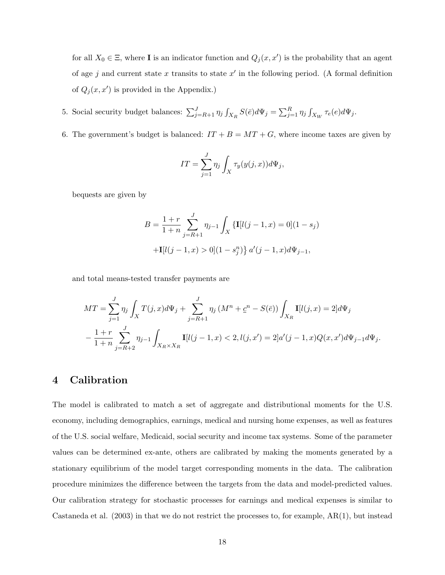for all  $X_0 \in \Xi$ , where **I** is an indicator function and  $Q_j(x, x')$  is the probability that an agent of age *j* and current state *x* transits to state *x ′* in the following period. (A formal definition of  $Q_j(x, x')$  is provided in the Appendix.)

- 5. Social security budget balances:  $\sum_{j=R+1}^{J} \eta_j \int_{X_R} S(\bar{e}) d\Psi_j = \sum_{j=1}^{R} \eta_j \int_{X_W} \tau_e(e) d\Psi_j$ .
- 6. The government's budget is balanced:  $IT + B = MT + G$ , where income taxes are given by

$$
IT = \sum_{j=1}^{J} \eta_j \int_X \tau_y(y(j, x)) d\Psi_j,
$$

bequests are given by

$$
B = \frac{1+r}{1+n} \sum_{j=R+1}^{J} \eta_{j-1} \int_{X} {\{\mathbf{I}[l(j-1,x) = 0](1-s_j) \}
$$

$$
+ \mathbf{I}[l(j-1,x) > 0](1-s_j^n) \} a'(j-1,x) d\Psi_{j-1},
$$

and total means-tested transfer payments are

$$
MT = \sum_{j=1}^{J} \eta_j \int_X T(j, x) d\Psi_j + \sum_{j=R+1}^{J} \eta_j (M^n + \underline{c}^n - S(\overline{e})) \int_{X_R} \mathbf{I}[l(j, x) = 2] d\Psi_j
$$
  

$$
- \frac{1+r}{1+n} \sum_{j=R+2}^{J} \eta_{j-1} \int_{X_R \times X_R} \mathbf{I}[l(j-1, x) < 2, l(j, x') = 2] a'(j-1, x) Q(x, x') d\Psi_{j-1} d\Psi_j.
$$

## **4 Calibration**

The model is calibrated to match a set of aggregate and distributional moments for the U.S. economy, including demographics, earnings, medical and nursing home expenses, as well as features of the U.S. social welfare, Medicaid, social security and income tax systems. Some of the parameter values can be determined ex-ante, others are calibrated by making the moments generated by a stationary equilibrium of the model target corresponding moments in the data. The calibration procedure minimizes the difference between the targets from the data and model-predicted values. Our calibration strategy for stochastic processes for earnings and medical expenses is similar to Castaneda et al. (2003) in that we do not restrict the processes to, for example, AR(1), but instead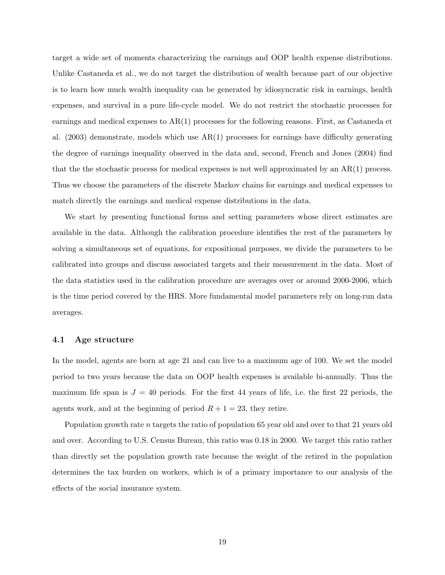target a wide set of moments characterizing the earnings and OOP health expense distributions. Unlike Castaneda et al., we do not target the distribution of wealth because part of our objective is to learn how much wealth inequality can be generated by idiosyncratic risk in earnings, health expenses, and survival in a pure life-cycle model. We do not restrict the stochastic processes for earnings and medical expenses to AR(1) processes for the following reasons. First, as Castaneda et al. (2003) demonstrate, models which use AR(1) processes for earnings have difficulty generating the degree of earnings inequality observed in the data and, second, French and Jones (2004) find that the the stochastic process for medical expenses is not well approximated by an AR(1) process. Thus we choose the parameters of the discrete Markov chains for earnings and medical expenses to match directly the earnings and medical expense distributions in the data.

We start by presenting functional forms and setting parameters whose direct estimates are available in the data. Although the calibration procedure identifies the rest of the parameters by solving a simultaneous set of equations, for expositional purposes, we divide the parameters to be calibrated into groups and discuss associated targets and their measurement in the data. Most of the data statistics used in the calibration procedure are averages over or around 2000-2006, which is the time period covered by the HRS. More fundamental model parameters rely on long-run data averages.

#### **4.1 Age structure**

In the model, agents are born at age 21 and can live to a maximum age of 100. We set the model period to two years because the data on OOP health expenses is available bi-annually. Thus the maximum life span is  $J = 40$  periods. For the first 44 years of life, i.e. the first 22 periods, the agents work, and at the beginning of period  $R + 1 = 23$ , they retire.

Population growth rate *n* targets the ratio of population 65 year old and over to that 21 years old and over. According to U.S. Census Bureau, this ratio was 0.18 in 2000. We target this ratio rather than directly set the population growth rate because the weight of the retired in the population determines the tax burden on workers, which is of a primary importance to our analysis of the effects of the social insurance system.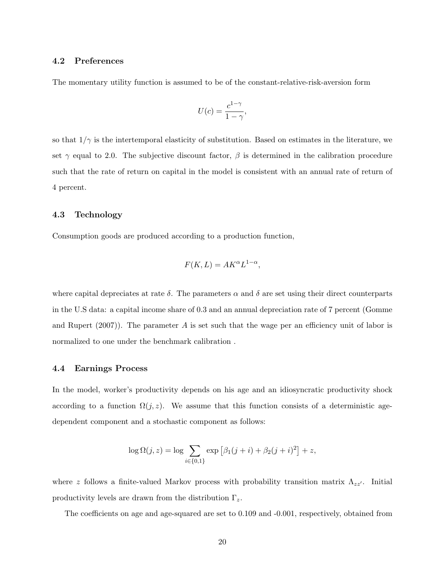#### **4.2 Preferences**

The momentary utility function is assumed to be of the constant-relative-risk-aversion form

$$
U(c) = \frac{c^{1-\gamma}}{1-\gamma},
$$

so that  $1/\gamma$  is the intertemporal elasticity of substitution. Based on estimates in the literature, we set  $\gamma$  equal to 2.0. The subjective discount factor,  $\beta$  is determined in the calibration procedure such that the rate of return on capital in the model is consistent with an annual rate of return of 4 percent.

#### **4.3 Technology**

Consumption goods are produced according to a production function,

$$
F(K, L) = AK^{\alpha}L^{1-\alpha},
$$

where capital depreciates at rate  $\delta$ . The parameters  $\alpha$  and  $\delta$  are set using their direct counterparts in the U.S data: a capital income share of 0*.*3 and an annual depreciation rate of 7 percent (Gomme and Rupert  $(2007)$ ). The parameter *A* is set such that the wage per an efficiency unit of labor is normalized to one under the benchmark calibration .

#### **4.4 Earnings Process**

In the model, worker's productivity depends on his age and an idiosyncratic productivity shock according to a function  $\Omega(j, z)$ . We assume that this function consists of a deterministic agedependent component and a stochastic component as follows:

$$
\log \Omega(j, z) = \log \sum_{i \in \{0, 1\}} \exp \left[ \beta_1 (j + i) + \beta_2 (j + i)^2 \right] + z,
$$

where *z* follows a finite-valued Markov process with probability transition matrix Λ*zz′*. Initial productivity levels are drawn from the distribution Γ*z*.

The coefficients on age and age-squared are set to 0.109 and -0.001, respectively, obtained from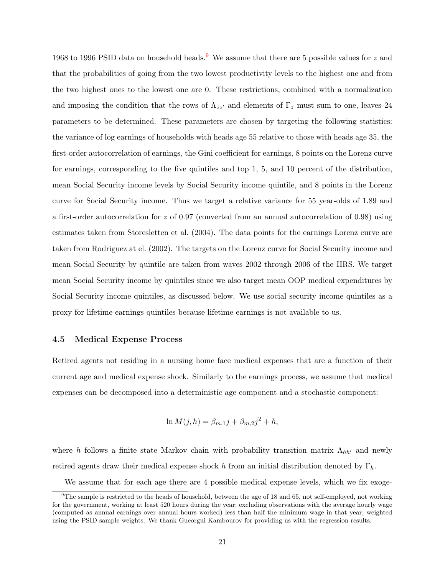1968 to 1996 PSID data on household heads.<sup>9</sup> We assume that there are 5 possible values for *z* and that the probabilities of going from the two lowest productivity levels to the highest one and from the two highest ones to the lowest one are 0. These restrictions, combined with a normalization and imposing the condition that the rows of  $\Lambda_{zz'}$  and elements of  $\Gamma_z$  must sum to one, leaves 24 parameters to be determined. These parameters are chosen by targeting the following statistics: the variance of log earnings of households with heads age 55 relative to those with heads age 35, the first-order autocorrelation of earnings, the Gini coefficient for earnings, 8 points on the Lorenz curve for earnings, corresponding to the five quintiles and top 1, 5, and 10 percent of the distribution, mean Social Security income levels by Social Security income quintile, and 8 points in the Lorenz curve for Social Security income. Thus we target a relative variance for 55 year-olds of 1.89 and a first-order autocorrelation for *z* of 0.97 (converted from an annual autocorrelation of 0.98) using estimates taken from Storesletten et al. (2004). The data points for the earnings Lorenz curve are taken from Rodriguez at el. (2002). The targets on the Lorenz curve for Social Security income and mean Social Security by quintile are taken from waves 2002 through 2006 of the HRS. We target mean Social Security income by quintiles since we also target mean OOP medical expenditures by Social Security income quintiles, as discussed below. We use social security income quintiles as a proxy for lifetime earnings quintiles because lifetime earnings is not available to us.

#### **4.5 Medical Expense Process**

Retired agents not residing in a nursing home face medical expenses that are a function of their current age and medical expense shock. Similarly to the earnings process, we assume that medical expenses can be decomposed into a deterministic age component and a stochastic component:

$$
\ln M(j, h) = \beta_{m,1} j + \beta_{m,2} j^2 + h,
$$

where *h* follows a finite state Markov chain with probability transition matrix Λ*hh′* and newly retired agents draw their medical expense shock *h* from an initial distribution denoted by Γ*h*.

We assume that for each age there are 4 possible medical expense levels, which we fix exoge-

 $9$ The sample is restricted to the heads of household, between the age of 18 and 65, not self-employed, not working for the government, working at least 520 hours during the year; excluding observations with the average hourly wage (computed as annual earnings over annual hours worked) less than half the minimum wage in that year; weighted using the PSID sample weights. We thank Gueorgui Kambourov for providing us with the regression results.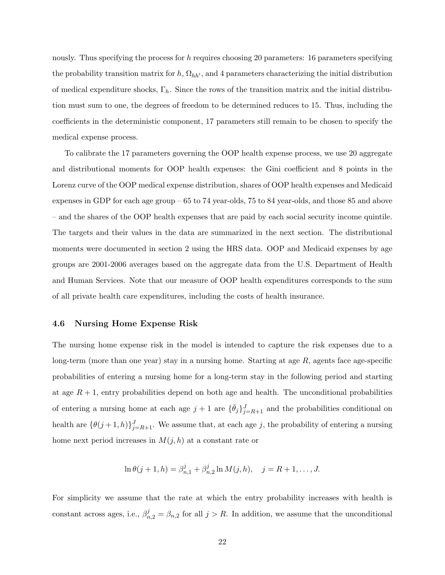nously. Thus specifying the process for *h* requires choosing 20 parameters: 16 parameters specifying the probability transition matrix for *h*, Ω*hh′*, and 4 parameters characterizing the initial distribution of medical expenditure shocks, Γ*h*. Since the rows of the transition matrix and the initial distribution must sum to one, the degrees of freedom to be determined reduces to 15. Thus, including the coefficients in the deterministic component, 17 parameters still remain to be chosen to specify the medical expense process.

To calibrate the 17 parameters governing the OOP health expense process, we use 20 aggregate and distributional moments for OOP health expenses: the Gini coefficient and 8 points in the Lorenz curve of the OOP medical expense distribution, shares of OOP health expenses and Medicaid expenses in GDP for each age group – 65 to 74 year-olds, 75 to 84 year-olds, and those 85 and above – and the shares of the OOP health expenses that are paid by each social security income quintile. The targets and their values in the data are summarized in the next section. The distributional moments were documented in section 2 using the HRS data. OOP and Medicaid expenses by age groups are 2001-2006 averages based on the aggregate data from the U.S. Department of Health and Human Services. Note that our measure of OOP health expenditures corresponds to the sum of all private health care expenditures, including the costs of health insurance.

#### **4.6 Nursing Home Expense Risk**

The nursing home expense risk in the model is intended to capture the risk expenses due to a long-term (more than one year) stay in a nursing home. Starting at age *R*, agents face age-specific probabilities of entering a nursing home for a long-term stay in the following period and starting at age  $R+1$ , entry probabilities depend on both age and health. The unconditional probabilities of entering a nursing home at each age  $j + 1$  are  ${\lbrace \bar{\theta}_j \rbrace}_{j=R+1}^J$  and the probabilities conditional on health are  $\{\theta(j+1,h)\}_{j=R+1}^J$ . We assume that, at each age *j*, the probability of entering a nursing home next period increases in  $M(j, h)$  at a constant rate or

$$
\ln \theta(j+1,h) = \beta_{n,1}^j + \beta_{n,2}^j \ln M(j,h), \quad j = R+1, \dots, J.
$$

For simplicity we assume that the rate at which the entry probability increases with health is constant across ages, i.e.,  $\beta_{n,2}^j = \beta_{n,2}$  for all  $j > R$ . In addition, we assume that the unconditional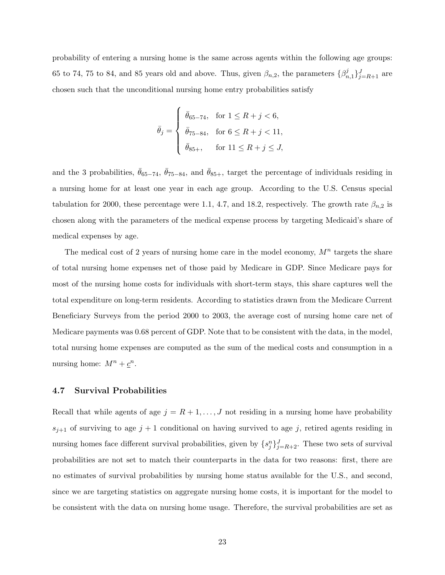probability of entering a nursing home is the same across agents within the following age groups: 65 to 74, 75 to 84, and 85 years old and above. Thus, given  $\beta_{n,2}$ , the parameters  $\{\beta_n^j\}$  $\{f}_{n,1}^{j}\}_{j=R+1}^{J}$  are chosen such that the unconditional nursing home entry probabilities satisfy

$$
\bar{\theta}_{j} = \begin{cases} \bar{\theta}_{65-74}, & \text{for } 1 \leq R+j < 6, \\ \bar{\theta}_{75-84}, & \text{for } 6 \leq R+j < 11, \\ \bar{\theta}_{85+}, & \text{for } 11 \leq R+j \leq J, \end{cases}
$$

and the 3 probabilities,  $\bar{\theta}_{65-74}$ ,  $\bar{\theta}_{75-84}$ , and  $\bar{\theta}_{85+}$ , target the percentage of individuals residing in a nursing home for at least one year in each age group. According to the U.S. Census special tabulation for 2000, these percentage were 1.1, 4.7, and 18.2, respectively. The growth rate  $\beta_{n,2}$  is chosen along with the parameters of the medical expense process by targeting Medicaid's share of medical expenses by age.

The medical cost of 2 years of nursing home care in the model economy,  $M^n$  targets the share of total nursing home expenses net of those paid by Medicare in GDP. Since Medicare pays for most of the nursing home costs for individuals with short-term stays, this share captures well the total expenditure on long-term residents. According to statistics drawn from the Medicare Current Beneficiary Surveys from the period 2000 to 2003, the average cost of nursing home care net of Medicare payments was 0*.*68 percent of GDP. Note that to be consistent with the data, in the model, total nursing home expenses are computed as the sum of the medical costs and consumption in a nursing home:  $M^n + \underline{c}^n$ .

#### **4.7 Survival Probabilities**

Recall that while agents of age  $j = R + 1, \ldots, J$  not residing in a nursing home have probability  $s_{j+1}$  of surviving to age  $j+1$  conditional on having survived to age *j*, retired agents residing in nursing homes face different survival probabilities, given by  $\{s_j^n\}_{j=R+2}^J$ . These two sets of survival probabilities are not set to match their counterparts in the data for two reasons: first, there are no estimates of survival probabilities by nursing home status available for the U.S., and second, since we are targeting statistics on aggregate nursing home costs, it is important for the model to be consistent with the data on nursing home usage. Therefore, the survival probabilities are set as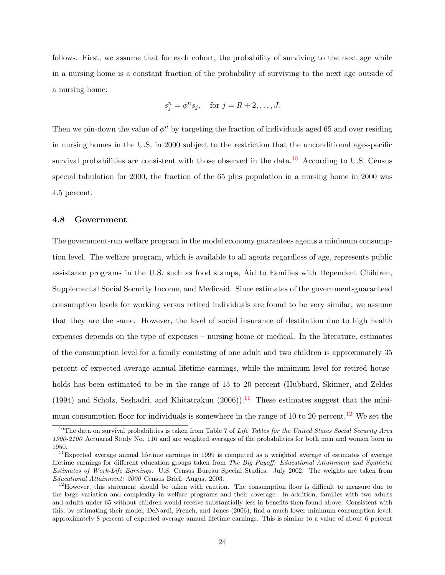follows. First, we assume that for each cohort, the probability of surviving to the next age while in a nursing home is a constant fraction of the probability of surviving to the next age outside of a nursing home:

$$
s_j^n = \phi^n s_j, \quad \text{for } j = R + 2, \dots, J.
$$

Then we pin-down the value of  $\phi^n$  by targeting the fraction of individuals aged 65 and over residing in nursing homes in the U.S. in 2000 subject to the restriction that the unconditional age-specific survival probabilities are consistent with those observed in the data.<sup>10</sup> According to U.S. Census special tabulation for 2000, the fraction of the 65 plus population in a nursing home in 2000 was 4.5 percent.

#### **4.8 Government**

The government-run welfare program in the model economy guarantees agents a minimum consumption level. The welfare program, which is available to all agents regardless of age, represents public assistance programs in the U.S. such as food stamps, Aid to Families with Dependent Children, Supplemental Social Security Income, and Medicaid. Since estimates of the government-guaranteed consumption levels for working versus retired individuals are found to be very similar, we assume that they are the same. However, the level of social insurance of destitution due to high health expenses depends on the type of expenses – nursing home or medical. In the literature, estimates of the consumption level for a family consisting of one adult and two children is approximately 35 percent of expected average annual lifetime earnings, while the minimum level for retired households has been estimated to be in the range of 15 to 20 percent (Hubbard, Skinner, and Zeldes (1994) and Scholz, Seshadri, and Khitatrakun (2006)).<sup>11</sup> These estimates suggest that the minimum consumption floor for individuals is somewhere in the range of 10 to 20 percent.<sup>12</sup> We set the

<sup>10</sup>The data on survival probabilities is taken from Table 7 of *Life Tables for the United States Social Security Area 1900-2100* Actuarial Study No. 116 and are weighted averages of the probabilities for both men and women born in 1950.

 $11$ Expected average annual lifetime earnings in 1999 is computed as a weighted average of estimates of average lifetime earnings for different education groups taken from *The Big Payoff: Educational Attainment and Synthetic Estimates of Work-Life Earnings.* U.S. Census Bureau Special Studies. July 2002. The weights are taken from *Educational Attainment: 2000* Census Brief. August 2003.

 $12$ However, this statement should be taken with caution. The consumption floor is difficult to measure due to the large variation and complexity in welfare programs and their coverage. In addition, families with two adults and adults under 65 without children would receive substantially less in benefits then found above. Consistent with this, by estimating their model, DeNardi, French, and Jones (2006), find a much lower minimum consumption level: approximately 8 percent of expected average annual lifetime earnings. This is similar to a value of about 6 percent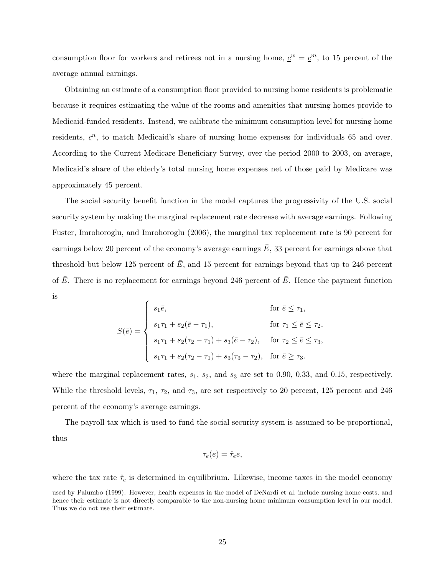consumption floor for workers and retirees not in a nursing home,  $\mathcal{L}^w = \mathcal{L}^m$ , to 15 percent of the average annual earnings.

Obtaining an estimate of a consumption floor provided to nursing home residents is problematic because it requires estimating the value of the rooms and amenities that nursing homes provide to Medicaid-funded residents. Instead, we calibrate the minimum consumption level for nursing home residents,  $\mathbf{c}^n$ , to match Medicaid's share of nursing home expenses for individuals 65 and over. According to the Current Medicare Beneficiary Survey, over the period 2000 to 2003, on average, Medicaid's share of the elderly's total nursing home expenses net of those paid by Medicare was approximately 45 percent.

The social security benefit function in the model captures the progressivity of the U.S. social security system by making the marginal replacement rate decrease with average earnings. Following Fuster, Imrohoroglu, and Imrohoroglu (2006), the marginal tax replacement rate is 90 percent for earnings below 20 percent of the economy's average earnings  $\bar{E}$ , 33 percent for earnings above that threshold but below 125 percent of  $\bar{E}$ , and 15 percent for earnings beyond that up to 246 percent of  $\bar{E}$ . There is no replacement for earnings beyond 246 percent of  $\bar{E}$ . Hence the payment function is

$$
S(\bar{e}) = \begin{cases} s_1 \bar{e}, & \text{for } \bar{e} \leq \tau_1, \\ s_1 \tau_1 + s_2(\bar{e} - \tau_1), & \text{for } \tau_1 \leq \bar{e} \leq \tau_2, \\ s_1 \tau_1 + s_2(\tau_2 - \tau_1) + s_3(\bar{e} - \tau_2), & \text{for } \tau_2 \leq \bar{e} \leq \tau_3, \\ s_1 \tau_1 + s_2(\tau_2 - \tau_1) + s_3(\tau_3 - \tau_2), & \text{for } \bar{e} \geq \tau_3. \end{cases}
$$

where the marginal replacement rates,  $s_1$ ,  $s_2$ , and  $s_3$  are set to 0.90, 0.33, and 0.15, respectively. While the threshold levels,  $\tau_1$ ,  $\tau_2$ , and  $\tau_3$ , are set respectively to 20 percent, 125 percent and 246 percent of the economy's average earnings.

The payroll tax which is used to fund the social security system is assumed to be proportional, thus

$$
\tau_e(e) = \hat{\tau}_e e,
$$

where the tax rate  $\hat{\tau}_e$  is determined in equilibrium. Likewise, income taxes in the model economy

used by Palumbo (1999). However, health expenses in the model of DeNardi et al. include nursing home costs, and hence their estimate is not directly comparable to the non-nursing home minimum consumption level in our model. Thus we do not use their estimate.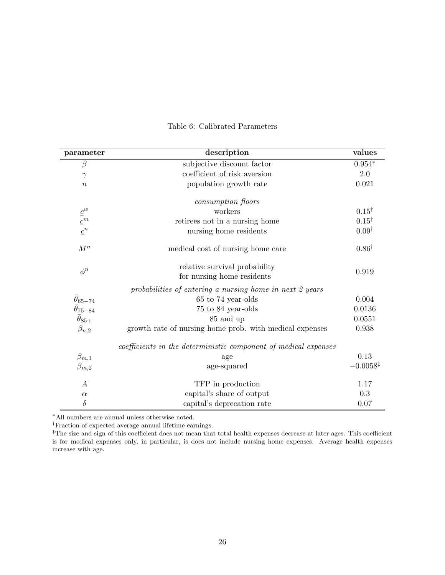| parameter                                    | description                                                     | values               |
|----------------------------------------------|-----------------------------------------------------------------|----------------------|
| $\beta$                                      | subjective discount factor                                      | $0.954*$             |
| $\gamma$                                     | coefficient of risk aversion                                    | 2.0                  |
| $\boldsymbol{n}$                             | population growth rate                                          | 0.021                |
|                                              | consumption floors                                              |                      |
|                                              | workers                                                         | $0.15^{\dagger}$     |
| $\underline{c}^w$<br>$\underline{c}^m$       | retirees not in a nursing home                                  | $0.15^{\dagger}$     |
| $\underline{c}^n$                            | nursing home residents                                          | $0.09^{\dagger}$     |
| $M^n$                                        | medical cost of nursing home care                               | $0.86^{\dagger}$     |
| $\phi^n$                                     | relative survival probability<br>for nursing home residents     | 0.919                |
|                                              | probabilities of entering a nursing home in next 2 years        |                      |
| $\theta_{65-74}$                             | 65 to 74 year-olds                                              | 0.004                |
| $\bar{\theta}_{75-84} \\ \bar{\theta}_{85+}$ | 75 to 84 year-olds                                              | 0.0136               |
|                                              | 85 and up                                                       | 0.0551               |
| $\beta_{n,2}$                                | growth rate of nursing home prob. with medical expenses         | 0.938                |
|                                              | coefficients in the deterministic component of medical expenses |                      |
| $\beta_{m,1}$                                | age                                                             | 0.13                 |
| $\beta_{m,2}$                                | age-squared                                                     | $-0.0058^{\ddagger}$ |
| $\overline{A}$                               | TFP in production                                               | 1.17                 |
| $\alpha$                                     | capital's share of output                                       | 0.3                  |
| $\delta$                                     | capital's deprecation rate                                      | 0.07                 |

### Table 6: Calibrated Parameters

*<sup>∗</sup>*All numbers are annual unless otherwise noted.

*†*Fraction of expected average annual lifetime earnings.

<sup>†</sup>The size and sign of this coefficient does not mean that total health expenses decrease at later ages. This coefficient is for medical expenses only, in particular, is does not include nursing home expenses. Average health expenses increase with age.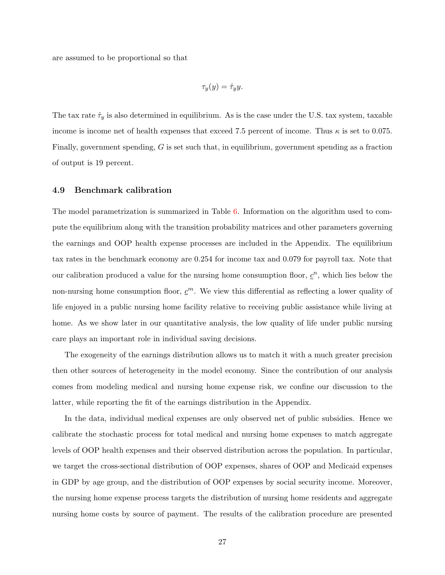are assumed to be proportional so that

$$
\tau_y(y) = \hat{\tau}_y y.
$$

The tax rate  $\hat{\tau}_y$  is also determined in equilibrium. As is the case under the U.S. tax system, taxable income is income net of health expenses that exceed 7.5 percent of income. Thus *κ* is set to 0*.*075. Finally, government spending, *G* is set such that, in equilibrium, government spending as a fraction of output is 19 percent.

#### **4.9 Benchmark calibration**

The model parametrization is summarized in Table 6. Information on the algorithm used to compute the equilibrium along with the transition probability matrices and other parameters governing the earnings and OOP health expense processes are included in the Appendix. The equilibrium tax rates in the benchmark economy are 0.254 for income tax and 0.079 for payroll tax. Note that our calibration produced a value for the nursing home consumption floor,  $\mathcal{L}^n$ , which lies below the non-nursing home consumption floor,  $\underline{c}^m$ . We view this differential as reflecting a lower quality of life enjoyed in a public nursing home facility relative to receiving public assistance while living at home. As we show later in our quantitative analysis, the low quality of life under public nursing care plays an important role in individual saving decisions.

The exogeneity of the earnings distribution allows us to match it with a much greater precision then other sources of heterogeneity in the model economy. Since the contribution of our analysis comes from modeling medical and nursing home expense risk, we confine our discussion to the latter, while reporting the fit of the earnings distribution in the Appendix.

In the data, individual medical expenses are only observed net of public subsidies. Hence we calibrate the stochastic process for total medical and nursing home expenses to match aggregate levels of OOP health expenses and their observed distribution across the population. In particular, we target the cross-sectional distribution of OOP expenses, shares of OOP and Medicaid expenses in GDP by age group, and the distribution of OOP expenses by social security income. Moreover, the nursing home expense process targets the distribution of nursing home residents and aggregate nursing home costs by source of payment. The results of the calibration procedure are presented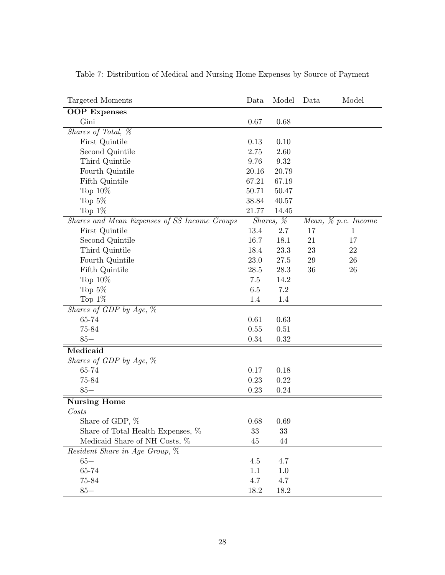| Targeted Moments                             | Data     | Model                | Data | Model               |
|----------------------------------------------|----------|----------------------|------|---------------------|
| <b>OOP</b> Expenses                          |          |                      |      |                     |
| Gini                                         | 0.67     | 0.68                 |      |                     |
| Shares of Total, %                           |          |                      |      |                     |
| First Quintile                               | 0.13     | 0.10                 |      |                     |
| Second Quintile                              | 2.75     | 2.60                 |      |                     |
| Third Quintile                               | 9.76     | 9.32                 |      |                     |
| Fourth Quintile                              | 20.16    | 20.79                |      |                     |
| Fifth Quintile                               | 67.21    | 67.19                |      |                     |
| Top $10\%$                                   | 50.71    | 50.47                |      |                     |
| Top $5\%$                                    | 38.84    | 40.57                |      |                     |
| Top $1\%$                                    | 21.77    | 14.45                |      |                     |
| Shares and Mean Expenses of SS Income Groups |          | <i>Shares</i> , $\%$ |      | Mean, % p.c. Income |
| First Quintile                               | 13.4     | 2.7                  | 17   | $\mathbf{1}$        |
| Second Quintile                              | 16.7     | 18.1                 | 21   | 17                  |
| Third Quintile                               | 18.4     | 23.3                 | 23   | 22                  |
| Fourth Quintile                              | 23.0     | $27.5\,$             | 29   | 26                  |
| Fifth Quintile                               | 28.5     | 28.3                 | 36   | 26                  |
| Top 10%                                      | 7.5      | 14.2                 |      |                     |
| Top $5\%$                                    | 6.5      | 7.2                  |      |                     |
| Top $1\%$                                    | 1.4      | 1.4                  |      |                     |
| Shares of GDP by Age, $\%$                   |          |                      |      |                     |
| 65-74                                        | 0.61     | 0.63                 |      |                     |
| 75-84                                        | 0.55     | $0.51\,$             |      |                     |
| $85+$                                        | 0.34     | 0.32                 |      |                     |
| Medicaid                                     |          |                      |      |                     |
| Shares of GDP by Age, $\%$                   |          |                      |      |                     |
| 65-74                                        | 0.17     | 0.18                 |      |                     |
| 75-84                                        | 0.23     | 0.22                 |      |                     |
| $85+$                                        | 0.23     | 0.24                 |      |                     |
| <b>Nursing Home</b>                          |          |                      |      |                     |
| Costs                                        |          |                      |      |                     |
| Share of GDP, $\%$                           | $0.68\,$ | 0.69                 |      |                     |
| Share of Total Health Expenses, %            | 33       | 33                   |      |                     |
| Medicaid Share of NH Costs, %                | 45       | $44\,$               |      |                     |
| Resident Share in Age Group, $\%$            |          |                      |      |                     |
| $65+$                                        | 4.5      | 4.7                  |      |                     |
| 65-74                                        | 1.1      | 1.0                  |      |                     |
| 75-84                                        | 4.7      | 4.7                  |      |                     |
| $85+$                                        | 18.2     | 18.2                 |      |                     |

Table 7: Distribution of Medical and Nursing Home Expenses by Source of Payment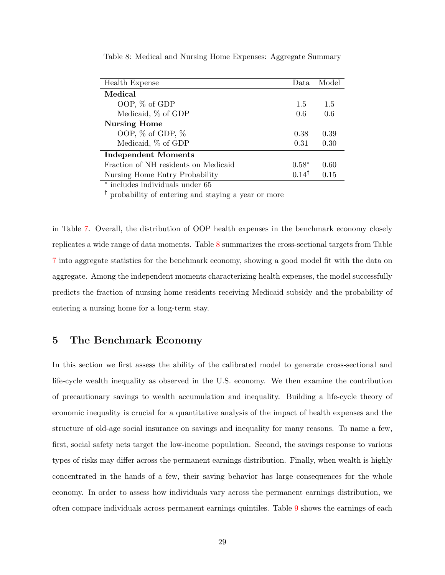| Health Expense                       | Data                | Model |
|--------------------------------------|---------------------|-------|
| Medical                              |                     |       |
| OOP, % of GDP                        | 1.5                 | 1.5   |
| Medicaid, % of GDP                   | 0.6                 | 0.6   |
| <b>Nursing Home</b>                  |                     |       |
| OOP, $\%$ of GDP, $\%$               | 0.38                | 0.39  |
| Medicaid, % of GDP                   | 0.31                | 0.30  |
| <b>Independent Moments</b>           |                     |       |
| Fraction of NH residents on Medicaid | $0.58*$             | 0.60  |
| Nursing Home Entry Probability       | $0.14$ <sup>T</sup> | 0.15  |

Table 8: Medical and Nursing Home Expenses: Aggregate Summary

*∗* includes individuals under 65

*†* probability of entering and staying a year or more

in Table 7. Overall, the distribution of OOP health expenses in the benchmark economy closely replicates a wide range of data moments. Table 8 summarizes the cross-sectional targets from Table 7 into aggregate statistics for the benchmark economy, showing a good model fit with the data on aggregate. Among the independent moments characterizing health expenses, the model successfully predicts the fraction of nursing home residents receiving Medicaid subsidy and the probability of entering a nursing home for a long-term stay.

## **5 The Benchmark Economy**

In this section we first assess the ability of the calibrated model to generate cross-sectional and life-cycle wealth inequality as observed in the U.S. economy. We then examine the contribution of precautionary savings to wealth accumulation and inequality. Building a life-cycle theory of economic inequality is crucial for a quantitative analysis of the impact of health expenses and the structure of old-age social insurance on savings and inequality for many reasons. To name a few, first, social safety nets target the low-income population. Second, the savings response to various types of risks may differ across the permanent earnings distribution. Finally, when wealth is highly concentrated in the hands of a few, their saving behavior has large consequences for the whole economy. In order to assess how individuals vary across the permanent earnings distribution, we often compare individuals across permanent earnings quintiles. Table 9 shows the earnings of each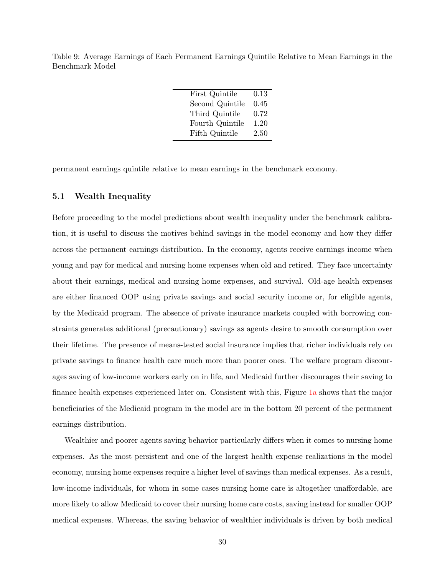Table 9: Average Earnings of Each Permanent Earnings Quintile Relative to Mean Earnings in the Benchmark Model

| First Quintile  | 0.13 |
|-----------------|------|
| Second Quintile | 0.45 |
| Third Quintile  | 0.72 |
| Fourth Quintile | 1.20 |
| Fifth Quintile  | 2.50 |

permanent earnings quintile relative to mean earnings in the benchmark economy.

#### **5.1 Wealth Inequality**

Before proceeding to the model predictions about wealth inequality under the benchmark calibration, it is useful to discuss the motives behind savings in the model economy and how they differ across the permanent earnings distribution. In the economy, agents receive earnings income when young and pay for medical and nursing home expenses when old and retired. They face uncertainty about their earnings, medical and nursing home expenses, and survival. Old-age health expenses are either financed OOP using private savings and social security income or, for eligible agents, by the Medicaid program. The absence of private insurance markets coupled with borrowing constraints generates additional (precautionary) savings as agents desire to smooth consumption over their lifetime. The presence of means-tested social insurance implies that richer individuals rely on private savings to finance health care much more than poorer ones. The welfare program discourages saving of low-income workers early on in life, and Medicaid further discourages their saving to finance health expenses experienced later on. Consistent with this, Figure 1a shows that the major beneficiaries of the Medicaid program in the model are in the bottom 20 percent of the permanent earnings distribution.

Wealthier and poorer agents saving behavior particularly differs when it comes to nursing home expenses. As the most persistent and one of the largest health expense realizations in the model economy, nursing home expenses require a higher level of savings than medical expenses. As a result, low-income individuals, for whom in some cases nursing home care is altogether unaffordable, are more likely to allow Medicaid to cover their nursing home care costs, saving instead for smaller OOP medical expenses. Whereas, the saving behavior of wealthier individuals is driven by both medical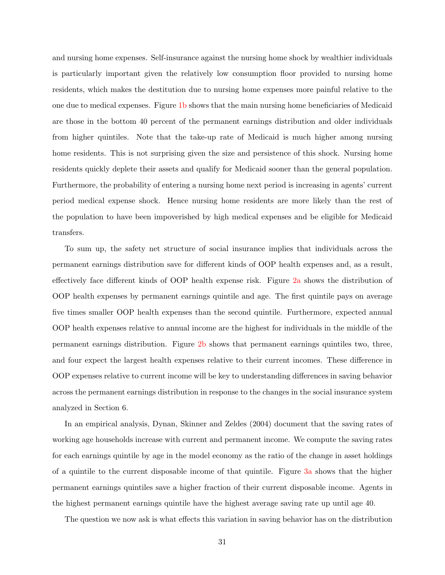and nursing home expenses. Self-insurance against the nursing home shock by wealthier individuals is particularly important given the relatively low consumption floor provided to nursing home residents, which makes the destitution due to nursing home expenses more painful relative to the one due to medical expenses. Figure 1b shows that the main nursing home beneficiaries of Medicaid are those in the bottom 40 percent of the permanent earnings distribution and older individuals from higher quintiles. Note that the take-up rate of Medicaid is much higher among nursing home residents. This is not surprising given the size and persistence of this shock. Nursing home residents quickly deplete their assets and qualify for Medicaid sooner than the general population. Furthermore, the probability of entering a nursing home next period is increasing in agents' current period medical expense shock. Hence nursing home residents are more likely than the rest of the population to have been impoverished by high medical expenses and be eligible for Medicaid transfers.

To sum up, the safety net structure of social insurance implies that individuals across the permanent earnings distribution save for different kinds of OOP health expenses and, as a result, effectively face different kinds of OOP health expense risk. Figure 2a shows the distribution of OOP health expenses by permanent earnings quintile and age. The first quintile pays on average five times smaller OOP health expenses than the second quintile. Furthermore, expected annual OOP health expenses relative to annual income are the highest for individuals in the middle of the permanent earnings distribution. Figure 2b shows that permanent earnings quintiles two, three, and four expect the largest health expenses relative to their current incomes. These difference in OOP expenses relative to current income will be key to understanding differences in saving behavior across the permanent earnings distribution in response to the changes in the social insurance system analyzed in Section 6.

In an empirical analysis, Dynan, Skinner and Zeldes (2004) document that the saving rates of working age households increase with current and permanent income. We compute the saving rates for each earnings quintile by age in the model economy as the ratio of the change in asset holdings of a quintile to the current disposable income of that quintile. Figure 3a shows that the higher permanent earnings quintiles save a higher fraction of their current disposable income. Agents in the highest permanent earnings quintile have the highest average saving rate up until age 40.

The question we now ask is what effects this variation in saving behavior has on the distribution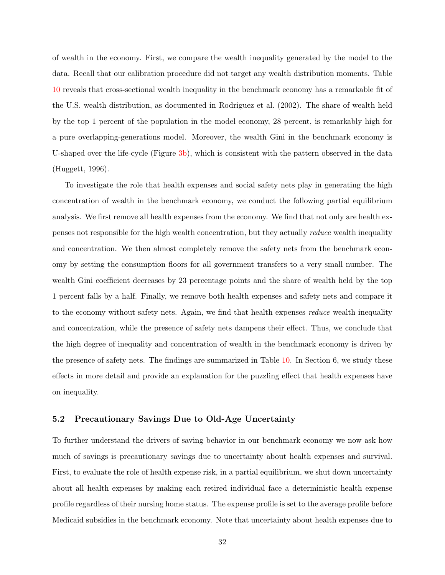of wealth in the economy. First, we compare the wealth inequality generated by the model to the data. Recall that our calibration procedure did not target any wealth distribution moments. Table 10 reveals that cross-sectional wealth inequality in the benchmark economy has a remarkable fit of the U.S. wealth distribution, as documented in Rodriguez et al. (2002). The share of wealth held by the top 1 percent of the population in the model economy, 28 percent, is remarkably high for a pure overlapping-generations model. Moreover, the wealth Gini in the benchmark economy is U-shaped over the life-cycle (Figure 3b), which is consistent with the pattern observed in the data (Huggett, 1996).

To investigate the role that health expenses and social safety nets play in generating the high concentration of wealth in the benchmark economy, we conduct the following partial equilibrium analysis. We first remove all health expenses from the economy. We find that not only are health expenses not responsible for the high wealth concentration, but they actually *reduce* wealth inequality and concentration. We then almost completely remove the safety nets from the benchmark economy by setting the consumption floors for all government transfers to a very small number. The wealth Gini coefficient decreases by 23 percentage points and the share of wealth held by the top 1 percent falls by a half. Finally, we remove both health expenses and safety nets and compare it to the economy without safety nets. Again, we find that health expenses *reduce* wealth inequality and concentration, while the presence of safety nets dampens their effect. Thus, we conclude that the high degree of inequality and concentration of wealth in the benchmark economy is driven by the presence of safety nets. The findings are summarized in Table 10. In Section 6, we study these effects in more detail and provide an explanation for the puzzling effect that health expenses have on inequality.

#### **5.2 Precautionary Savings Due to Old-Age Uncertainty**

To further understand the drivers of saving behavior in our benchmark economy we now ask how much of savings is precautionary savings due to uncertainty about health expenses and survival. First, to evaluate the role of health expense risk, in a partial equilibrium, we shut down uncertainty about all health expenses by making each retired individual face a deterministic health expense profile regardless of their nursing home status. The expense profile is set to the average profile before Medicaid subsidies in the benchmark economy. Note that uncertainty about health expenses due to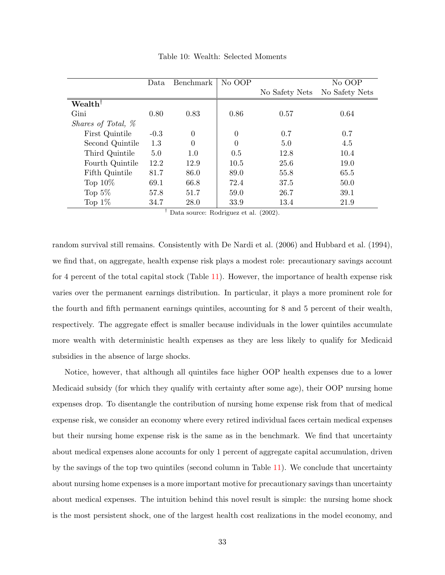|                     | Data   | <b>Benchmark</b> | No OOP   |                | No OOP         |
|---------------------|--------|------------------|----------|----------------|----------------|
|                     |        |                  |          | No Safety Nets | No Safety Nets |
| Wealth <sup>†</sup> |        |                  |          |                |                |
| Gini                | 0.80   | 0.83             | 0.86     | 0.57           | 0.64           |
| Shares of Total, %  |        |                  |          |                |                |
| First Quintile      | $-0.3$ | $\theta$         | $\theta$ | 0.7            | 0.7            |
| Second Quintile     | 1.3    | $\theta$         | $\theta$ | 5.0            | 4.5            |
| Third Quintile      | 5.0    | 1.0              | 0.5      | 12.8           | 10.4           |
| Fourth Quintile     | 12.2   | 12.9             | 10.5     | 25.6           | 19.0           |
| Fifth Quintile      | 81.7   | 86.0             | 89.0     | 55.8           | 65.5           |
| Top $10\%$          | 69.1   | 66.8             | 72.4     | 37.5           | 50.0           |
| Top $5\%$           | 57.8   | 51.7             | 59.0     | 26.7           | 39.1           |
| Top $1\%$           | 34.7   | 28.0             | 33.9     | 13.4           | 21.9           |

Table 10: Wealth: Selected Moments

*†* Data source: Rodriguez et al. (2002).

random survival still remains. Consistently with De Nardi et al. (2006) and Hubbard et al. (1994), we find that, on aggregate, health expense risk plays a modest role: precautionary savings account for 4 percent of the total capital stock (Table 11). However, the importance of health expense risk varies over the permanent earnings distribution. In particular, it plays a more prominent role for the fourth and fifth permanent earnings quintiles, accounting for 8 and 5 percent of their wealth, respectively. The aggregate effect is smaller because individuals in the lower quintiles accumulate more wealth with deterministic health expenses as they are less likely to qualify for Medicaid subsidies in the absence of large shocks.

Notice, however, that although all quintiles face higher OOP health expenses due to a lower Medicaid subsidy (for which they qualify with certainty after some age), their OOP nursing home expenses drop. To disentangle the contribution of nursing home expense risk from that of medical expense risk, we consider an economy where every retired individual faces certain medical expenses but their nursing home expense risk is the same as in the benchmark. We find that uncertainty about medical expenses alone accounts for only 1 percent of aggregate capital accumulation, driven by the savings of the top two quintiles (second column in Table 11). We conclude that uncertainty about nursing home expenses is a more important motive for precautionary savings than uncertainty about medical expenses. The intuition behind this novel result is simple: the nursing home shock is the most persistent shock, one of the largest health cost realizations in the model economy, and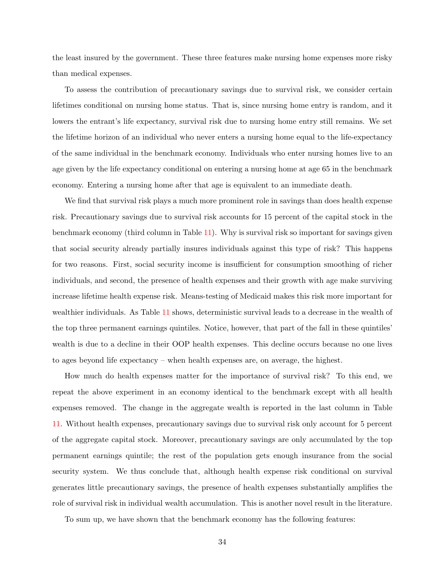the least insured by the government. These three features make nursing home expenses more risky than medical expenses.

To assess the contribution of precautionary savings due to survival risk, we consider certain lifetimes conditional on nursing home status. That is, since nursing home entry is random, and it lowers the entrant's life expectancy, survival risk due to nursing home entry still remains. We set the lifetime horizon of an individual who never enters a nursing home equal to the life-expectancy of the same individual in the benchmark economy. Individuals who enter nursing homes live to an age given by the life expectancy conditional on entering a nursing home at age 65 in the benchmark economy. Entering a nursing home after that age is equivalent to an immediate death.

We find that survival risk plays a much more prominent role in savings than does health expense risk. Precautionary savings due to survival risk accounts for 15 percent of the capital stock in the benchmark economy (third column in Table 11). Why is survival risk so important for savings given that social security already partially insures individuals against this type of risk? This happens for two reasons. First, social security income is insufficient for consumption smoothing of richer individuals, and second, the presence of health expenses and their growth with age make surviving increase lifetime health expense risk. Means-testing of Medicaid makes this risk more important for wealthier individuals. As Table 11 shows, deterministic survival leads to a decrease in the wealth of the top three permanent earnings quintiles. Notice, however, that part of the fall in these quintiles' wealth is due to a decline in their OOP health expenses. This decline occurs because no one lives to ages beyond life expectancy – when health expenses are, on average, the highest.

How much do health expenses matter for the importance of survival risk? To this end, we repeat the above experiment in an economy identical to the benchmark except with all health expenses removed. The change in the aggregate wealth is reported in the last column in Table 11. Without health expenses, precautionary savings due to survival risk only account for 5 percent of the aggregate capital stock. Moreover, precautionary savings are only accumulated by the top permanent earnings quintile; the rest of the population gets enough insurance from the social security system. We thus conclude that, although health expense risk conditional on survival generates little precautionary savings, the presence of health expenses substantially amplifies the role of survival risk in individual wealth accumulation. This is another novel result in the literature.

To sum up, we have shown that the benchmark economy has the following features: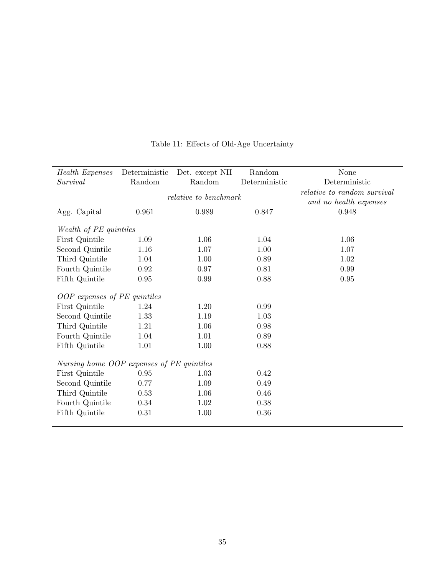| <b>Health Expenses</b>                    | Deterministic | Det. except NH        | Random        | None                        |
|-------------------------------------------|---------------|-----------------------|---------------|-----------------------------|
| Survival                                  | Random        | Random                | Deterministic | Deterministic               |
|                                           |               | relative to benchmark |               | relative to random survival |
|                                           |               |                       |               | and no health expenses      |
| Agg. Capital                              | 0.961         | 0.989                 | 0.847         | 0.948                       |
| Wealth of PE quintiles                    |               |                       |               |                             |
| First Quintile                            | 1.09          | 1.06                  | 1.04          | 1.06                        |
| Second Quintile                           | 1.16          | 1.07                  | 1.00          | 1.07                        |
| Third Quintile                            | 1.04          | 1.00                  | 0.89          | 1.02                        |
| Fourth Quintile                           | 0.92          | 0.97                  | 0.81          | 0.99                        |
| Fifth Quintile                            | 0.95          | 0.99                  | 0.88          | 0.95                        |
| OOP expenses of PE quintiles              |               |                       |               |                             |
| First Quintile                            | 1.24          | 1.20                  | 0.99          |                             |
| Second Quintile                           | 1.33          | 1.19                  | 1.03          |                             |
| Third Quintile                            | 1.21          | 1.06                  | 0.98          |                             |
| Fourth Quintile                           | 1.04          | 1.01                  | 0.89          |                             |
| Fifth Quintile                            | 1.01          | 1.00                  | 0.88          |                             |
| Nursing home OOP expenses of PE quintiles |               |                       |               |                             |
| First Quintile                            | 0.95          | 1.03                  | 0.42          |                             |
| Second Quintile                           | 0.77          | 1.09                  | 0.49          |                             |
| Third Quintile                            | 0.53          | 1.06                  | 0.46          |                             |
| Fourth Quintile                           | 0.34          | 1.02                  | 0.38          |                             |
| Fifth Quintile                            | 0.31          | 1.00                  | 0.36          |                             |
|                                           |               |                       |               |                             |

# Table 11: Effects of Old-Age Uncertainty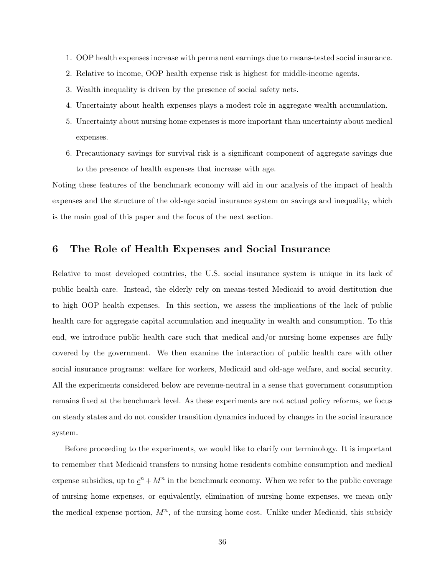- 1. OOP health expenses increase with permanent earnings due to means-tested social insurance.
- 2. Relative to income, OOP health expense risk is highest for middle-income agents.
- 3. Wealth inequality is driven by the presence of social safety nets.
- 4. Uncertainty about health expenses plays a modest role in aggregate wealth accumulation.
- 5. Uncertainty about nursing home expenses is more important than uncertainty about medical expenses.
- 6. Precautionary savings for survival risk is a significant component of aggregate savings due to the presence of health expenses that increase with age.

Noting these features of the benchmark economy will aid in our analysis of the impact of health expenses and the structure of the old-age social insurance system on savings and inequality, which is the main goal of this paper and the focus of the next section.

## **6 The Role of Health Expenses and Social Insurance**

Relative to most developed countries, the U.S. social insurance system is unique in its lack of public health care. Instead, the elderly rely on means-tested Medicaid to avoid destitution due to high OOP health expenses. In this section, we assess the implications of the lack of public health care for aggregate capital accumulation and inequality in wealth and consumption. To this end, we introduce public health care such that medical and/or nursing home expenses are fully covered by the government. We then examine the interaction of public health care with other social insurance programs: welfare for workers, Medicaid and old-age welfare, and social security. All the experiments considered below are revenue-neutral in a sense that government consumption remains fixed at the benchmark level. As these experiments are not actual policy reforms, we focus on steady states and do not consider transition dynamics induced by changes in the social insurance system.

Before proceeding to the experiments, we would like to clarify our terminology. It is important to remember that Medicaid transfers to nursing home residents combine consumption and medical expense subsidies, up to  $\underline{c}^n + M^n$  in the benchmark economy. When we refer to the public coverage of nursing home expenses, or equivalently, elimination of nursing home expenses, we mean only the medical expense portion,  $M^n$ , of the nursing home cost. Unlike under Medicaid, this subsidy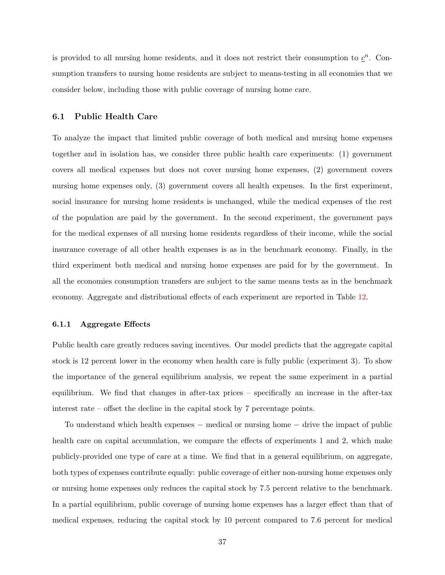is provided to all nursing home residents, and it does not restrict their consumption to  $\mathcal{C}^n$ . Consumption transfers to nursing home residents are subject to means-testing in all economies that we consider below, including those with public coverage of nursing home care.

#### **6.1 Public Health Care**

To analyze the impact that limited public coverage of both medical and nursing home expenses together and in isolation has, we consider three public health care experiments: (1) government covers all medical expenses but does not cover nursing home expenses, (2) government covers nursing home expenses only, (3) government covers all health expenses. In the first experiment, social insurance for nursing home residents is unchanged, while the medical expenses of the rest of the population are paid by the government. In the second experiment, the government pays for the medical expenses of all nursing home residents regardless of their income, while the social insurance coverage of all other health expenses is as in the benchmark economy. Finally, in the third experiment both medical and nursing home expenses are paid for by the government. In all the economies consumption transfers are subject to the same means tests as in the benchmark economy. Aggregate and distributional effects of each experiment are reported in Table 12.

#### **6.1.1 Aggregate Effects**

Public health care greatly reduces saving incentives. Our model predicts that the aggregate capital stock is 12 percent lower in the economy when health care is fully public (experiment 3). To show the importance of the general equilibrium analysis, we repeat the same experiment in a partial equilibrium. We find that changes in after-tax prices – specifically an increase in the after-tax interest rate – offset the decline in the capital stock by 7 percentage points.

To understand which health expenses *−* medical or nursing home *−* drive the impact of public health care on capital accumulation, we compare the effects of experiments 1 and 2, which make publicly-provided one type of care at a time. We find that in a general equilibrium, on aggregate, both types of expenses contribute equally: public coverage of either non-nursing home expenses only or nursing home expenses only reduces the capital stock by 7.5 percent relative to the benchmark. In a partial equilibrium, public coverage of nursing home expenses has a larger effect than that of medical expenses, reducing the capital stock by 10 percent compared to 7.6 percent for medical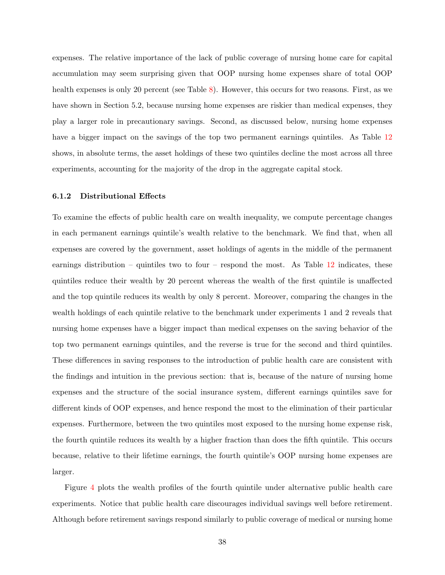expenses. The relative importance of the lack of public coverage of nursing home care for capital accumulation may seem surprising given that OOP nursing home expenses share of total OOP health expenses is only 20 percent (see Table 8). However, this occurs for two reasons. First, as we have shown in Section 5.2, because nursing home expenses are riskier than medical expenses, they play a larger role in precautionary savings. Second, as discussed below, nursing home expenses have a bigger impact on the savings of the top two permanent earnings quintiles. As Table 12 shows, in absolute terms, the asset holdings of these two quintiles decline the most across all three experiments, accounting for the majority of the drop in the aggregate capital stock.

#### **6.1.2 Distributional Effects**

To examine the effects of public health care on wealth inequality, we compute percentage changes in each permanent earnings quintile's wealth relative to the benchmark. We find that, when all expenses are covered by the government, asset holdings of agents in the middle of the permanent earnings distribution – quintiles two to four – respond the most. As Table  $12$  indicates, these quintiles reduce their wealth by 20 percent whereas the wealth of the first quintile is unaffected and the top quintile reduces its wealth by only 8 percent. Moreover, comparing the changes in the wealth holdings of each quintile relative to the benchmark under experiments 1 and 2 reveals that nursing home expenses have a bigger impact than medical expenses on the saving behavior of the top two permanent earnings quintiles, and the reverse is true for the second and third quintiles. These differences in saving responses to the introduction of public health care are consistent with the findings and intuition in the previous section: that is, because of the nature of nursing home expenses and the structure of the social insurance system, different earnings quintiles save for different kinds of OOP expenses, and hence respond the most to the elimination of their particular expenses. Furthermore, between the two quintiles most exposed to the nursing home expense risk, the fourth quintile reduces its wealth by a higher fraction than does the fifth quintile. This occurs because, relative to their lifetime earnings, the fourth quintile's OOP nursing home expenses are larger.

Figure 4 plots the wealth profiles of the fourth quintile under alternative public health care experiments. Notice that public health care discourages individual savings well before retirement. Although before retirement savings respond similarly to public coverage of medical or nursing home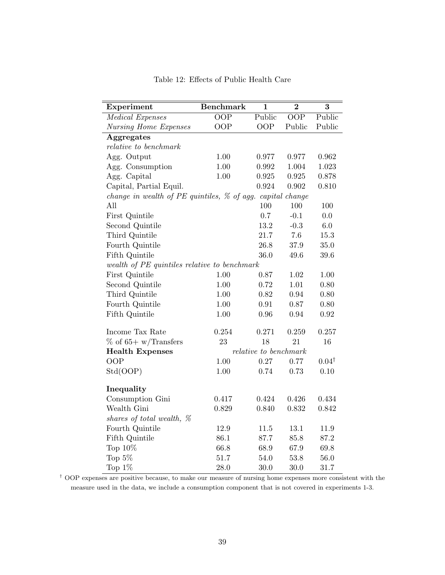| Experiment                                                   | <b>Benchmark</b> | $\overline{\mathbf{1}}$ | $\overline{2}$   | 3                |
|--------------------------------------------------------------|------------------|-------------------------|------------------|------------------|
| Medical Expenses                                             | $\overline{OOP}$ | Public                  | $\overline{OOP}$ | Public           |
| <b>Nursing Home Expenses</b>                                 | <b>OOP</b>       | <b>OOP</b>              | Public           | Public           |
| Aggregates                                                   |                  |                         |                  |                  |
| relative to benchmark                                        |                  |                         |                  |                  |
| Agg. Output                                                  | 1.00             | 0.977                   | 0.977            | 0.962            |
| Agg. Consumption                                             | 1.00             | 0.992                   | 1.004            | 1.023            |
| Agg. Capital                                                 | 1.00             | 0.925                   | 0.925            | 0.878            |
| Capital, Partial Equil.                                      |                  | 0.924                   | 0.902            | 0.810            |
| change in wealth of PE quintiles, $%$ of agg. capital change |                  |                         |                  |                  |
| All                                                          |                  | 100                     | 100              | 100              |
| First Quintile                                               |                  | 0.7                     | $-0.1$           | 0.0              |
| Second Quintile                                              |                  | 13.2                    | $-0.3$           | $6.0\,$          |
| Third Quintile                                               |                  | 21.7                    | 7.6              | 15.3             |
| Fourth Quintile                                              |                  | 26.8                    | 37.9             | $35.0\,$         |
| Fifth Quintile                                               |                  | 36.0                    | 49.6             | 39.6             |
| wealth of PE quintiles relative to benchmark                 |                  |                         |                  |                  |
| First Quintile                                               | 1.00             | 0.87                    | 1.02             | 1.00             |
| Second Quintile                                              | 1.00             | 0.72                    | 1.01             | 0.80             |
| Third Quintile                                               | 1.00             | 0.82                    | 0.94             | 0.80             |
| Fourth Quintile                                              | 1.00             | 0.91                    | 0.87             | 0.80             |
| Fifth Quintile                                               | 1.00             | 0.96                    | 0.94             | 0.92             |
| Income Tax Rate                                              | 0.254            | 0.271                   | 0.259            | 0.257            |
| $\%$ of 65+ w/Transfers                                      | 23               | 18                      | 21               | 16               |
| <b>Health Expenses</b>                                       |                  | relative to benchmark   |                  |                  |
| <b>OOP</b>                                                   | 1.00             | 0.27                    | 0.77             | $0.04^{\dagger}$ |
| Std(OOP)                                                     | 1.00             | 0.74                    | 0.73             | 0.10             |
| Inequality                                                   |                  |                         |                  |                  |
| Consumption Gini                                             | 0.417            | 0.424                   | 0.426            | 0.434            |
| Wealth Gini                                                  | 0.829            | 0.840                   | 0.832            | 0.842            |
| shares of total wealth, $\%$                                 |                  |                         |                  |                  |
| Fourth Quintile                                              | 12.9             | 11.5                    | 13.1             | 11.9             |
| Fifth Quintile                                               | 86.1             | 87.7                    | 85.8             | 87.2             |
| Top $10\%$                                                   | 66.8             | 68.9                    | 67.9             | 69.8             |
| Top 5%                                                       | 51.7             | 54.0                    | 53.8             | 56.0             |
| Top $1\%$                                                    | 28.0             | 30.0                    | 30.0             | 31.7             |

Table 12: Effects of Public Health Care

*†* OOP expenses are positive because, to make our measure of nursing home expenses more consistent with the measure used in the data, we include a consumption component that is not covered in experiments 1-3.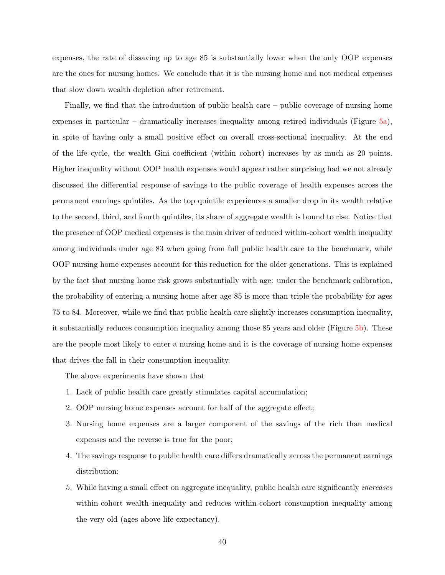expenses, the rate of dissaving up to age 85 is substantially lower when the only OOP expenses are the ones for nursing homes. We conclude that it is the nursing home and not medical expenses that slow down wealth depletion after retirement.

Finally, we find that the introduction of public health care – public coverage of nursing home expenses in particular – dramatically increases inequality among retired individuals (Figure  $5a$ ), in spite of having only a small positive effect on overall cross-sectional inequality. At the end of the life cycle, the wealth Gini coefficient (within cohort) increases by as much as 20 points. Higher inequality without OOP health expenses would appear rather surprising had we not already discussed the differential response of savings to the public coverage of health expenses across the permanent earnings quintiles. As the top quintile experiences a smaller drop in its wealth relative to the second, third, and fourth quintiles, its share of aggregate wealth is bound to rise. Notice that the presence of OOP medical expenses is the main driver of reduced within-cohort wealth inequality among individuals under age 83 when going from full public health care to the benchmark, while OOP nursing home expenses account for this reduction for the older generations. This is explained by the fact that nursing home risk grows substantially with age: under the benchmark calibration, the probability of entering a nursing home after age 85 is more than triple the probability for ages 75 to 84. Moreover, while we find that public health care slightly increases consumption inequality, it substantially reduces consumption inequality among those 85 years and older (Figure 5b). These are the people most likely to enter a nursing home and it is the coverage of nursing home expenses that drives the fall in their consumption inequality.

The above experiments have shown that

- 1. Lack of public health care greatly stimulates capital accumulation;
- 2. OOP nursing home expenses account for half of the aggregate effect;
- 3. Nursing home expenses are a larger component of the savings of the rich than medical expenses and the reverse is true for the poor;
- 4. The savings response to public health care differs dramatically across the permanent earnings distribution;
- 5. While having a small effect on aggregate inequality, public health care significantly *increases* within-cohort wealth inequality and reduces within-cohort consumption inequality among the very old (ages above life expectancy).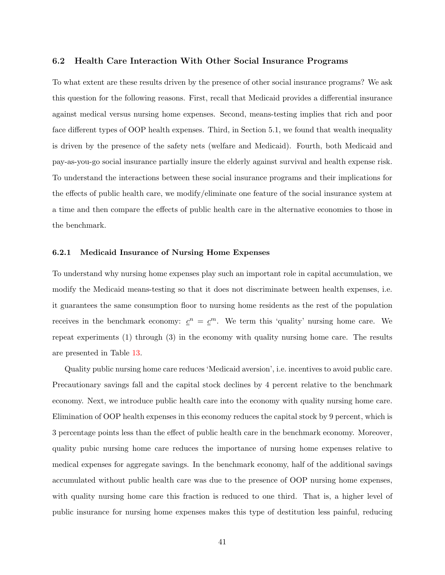#### **6.2 Health Care Interaction With Other Social Insurance Programs**

To what extent are these results driven by the presence of other social insurance programs? We ask this question for the following reasons. First, recall that Medicaid provides a differential insurance against medical versus nursing home expenses. Second, means-testing implies that rich and poor face different types of OOP health expenses. Third, in Section 5.1, we found that wealth inequality is driven by the presence of the safety nets (welfare and Medicaid). Fourth, both Medicaid and pay-as-you-go social insurance partially insure the elderly against survival and health expense risk. To understand the interactions between these social insurance programs and their implications for the effects of public health care, we modify/eliminate one feature of the social insurance system at a time and then compare the effects of public health care in the alternative economies to those in the benchmark.

#### **6.2.1 Medicaid Insurance of Nursing Home Expenses**

To understand why nursing home expenses play such an important role in capital accumulation, we modify the Medicaid means-testing so that it does not discriminate between health expenses, i.e. it guarantees the same consumption floor to nursing home residents as the rest of the population receives in the benchmark economy:  $\underline{c}^n = \underline{c}^m$ . We term this 'quality' nursing home care. We repeat experiments (1) through (3) in the economy with quality nursing home care. The results are presented in Table 13.

Quality public nursing home care reduces 'Medicaid aversion', i.e. incentives to avoid public care. Precautionary savings fall and the capital stock declines by 4 percent relative to the benchmark economy. Next, we introduce public health care into the economy with quality nursing home care. Elimination of OOP health expenses in this economy reduces the capital stock by 9 percent, which is 3 percentage points less than the effect of public health care in the benchmark economy. Moreover, quality pubic nursing home care reduces the importance of nursing home expenses relative to medical expenses for aggregate savings. In the benchmark economy, half of the additional savings accumulated without public health care was due to the presence of OOP nursing home expenses, with quality nursing home care this fraction is reduced to one third. That is, a higher level of public insurance for nursing home expenses makes this type of destitution less painful, reducing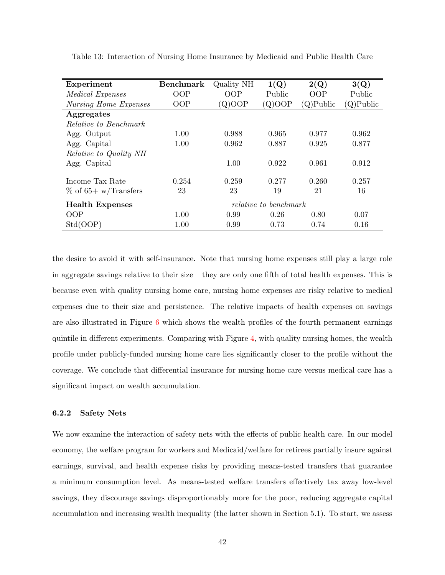| Experiment                    | <b>Benchmark</b> | Quality NH            | 1(Q)    | 2(Q)       | 3(Q)      |
|-------------------------------|------------------|-----------------------|---------|------------|-----------|
| <i>Medical Expenses</i>       | <b>OOP</b>       | <b>OOP</b>            | Public  | <b>OOP</b> | Public    |
| Nursing Home Expenses         | <b>OOP</b>       | $\rm (Q) OOP$         | (Q) OOP | (Q)Public  | (Q)Public |
| Aggregates                    |                  |                       |         |            |           |
| Relative to Benchmark         |                  |                       |         |            |           |
| Agg. Output                   | 1.00             | 0.988                 | 0.965   | 0.977      | 0.962     |
| Agg. Capital                  | 1.00             | 0.962                 | 0.887   | 0.925      | 0.877     |
| <i>Relative to Quality NH</i> |                  |                       |         |            |           |
| Agg. Capital                  |                  | 1.00                  | 0.922   | 0.961      | 0.912     |
| Income Tax Rate               | 0.254            | 0.259                 | 0.277   | 0.260      | 0.257     |
| $\%$ of 65+ w/Transfers       | 23               | 23                    | 19      | 21         | 16        |
| <b>Health Expenses</b>        |                  | relative to benchmark |         |            |           |
| <b>OOP</b>                    | 1.00             | 0.99                  | 0.26    | 0.80       | 0.07      |
| Std(OOP)                      | 1.00             | 0.99                  | 0.73    | 0.74       | 0.16      |

Table 13: Interaction of Nursing Home Insurance by Medicaid and Public Health Care

the desire to avoid it with self-insurance. Note that nursing home expenses still play a large role in aggregate savings relative to their size – they are only one fifth of total health expenses. This is because even with quality nursing home care, nursing home expenses are risky relative to medical expenses due to their size and persistence. The relative impacts of health expenses on savings are also illustrated in Figure 6 which shows the wealth profiles of the fourth permanent earnings quintile in different experiments. Comparing with Figure 4, with quality nursing homes, the wealth profile under publicly-funded nursing home care lies significantly closer to the profile without the coverage. We conclude that differential insurance for nursing home care versus medical care has a significant impact on wealth accumulation.

#### **6.2.2 Safety Nets**

We now examine the interaction of safety nets with the effects of public health care. In our model economy, the welfare program for workers and Medicaid/welfare for retirees partially insure against earnings, survival, and health expense risks by providing means-tested transfers that guarantee a minimum consumption level. As means-tested welfare transfers effectively tax away low-level savings, they discourage savings disproportionably more for the poor, reducing aggregate capital accumulation and increasing wealth inequality (the latter shown in Section 5.1). To start, we assess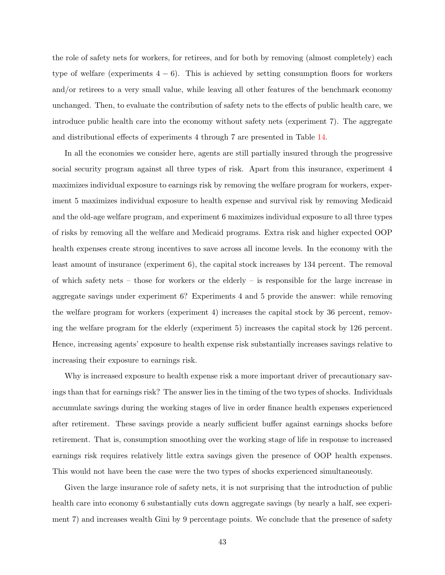the role of safety nets for workers, for retirees, and for both by removing (almost completely) each type of welfare (experiments 4 *−* 6). This is achieved by setting consumption floors for workers and/or retirees to a very small value, while leaving all other features of the benchmark economy unchanged. Then, to evaluate the contribution of safety nets to the effects of public health care, we introduce public health care into the economy without safety nets (experiment 7). The aggregate and distributional effects of experiments 4 through 7 are presented in Table 14.

In all the economies we consider here, agents are still partially insured through the progressive social security program against all three types of risk. Apart from this insurance, experiment 4 maximizes individual exposure to earnings risk by removing the welfare program for workers, experiment 5 maximizes individual exposure to health expense and survival risk by removing Medicaid and the old-age welfare program, and experiment 6 maximizes individual exposure to all three types of risks by removing all the welfare and Medicaid programs. Extra risk and higher expected OOP health expenses create strong incentives to save across all income levels. In the economy with the least amount of insurance (experiment 6), the capital stock increases by 134 percent. The removal of which safety nets – those for workers or the elderly – is responsible for the large increase in aggregate savings under experiment 6? Experiments 4 and 5 provide the answer: while removing the welfare program for workers (experiment 4) increases the capital stock by 36 percent, removing the welfare program for the elderly (experiment 5) increases the capital stock by 126 percent. Hence, increasing agents' exposure to health expense risk substantially increases savings relative to increasing their exposure to earnings risk.

Why is increased exposure to health expense risk a more important driver of precautionary savings than that for earnings risk? The answer lies in the timing of the two types of shocks. Individuals accumulate savings during the working stages of live in order finance health expenses experienced after retirement. These savings provide a nearly sufficient buffer against earnings shocks before retirement. That is, consumption smoothing over the working stage of life in response to increased earnings risk requires relatively little extra savings given the presence of OOP health expenses. This would not have been the case were the two types of shocks experienced simultaneously.

Given the large insurance role of safety nets, it is not surprising that the introduction of public health care into economy 6 substantially cuts down aggregate savings (by nearly a half, see experiment 7) and increases wealth Gini by 9 percentage points. We conclude that the presence of safety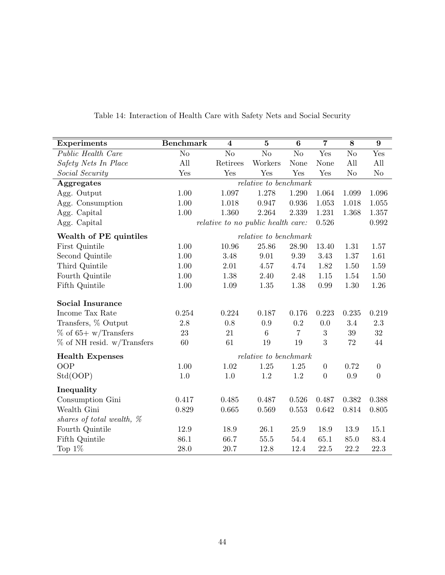| <b>Experiments</b>            | <b>Benchmark</b>                   | $\bf{4}$               | $\bf{5}$               | $\boldsymbol{6}$       | $\overline{7}$   | 8              | $\boldsymbol{9}$ |
|-------------------------------|------------------------------------|------------------------|------------------------|------------------------|------------------|----------------|------------------|
| Public Health Care            | $\overline{\text{No}}$             | $\overline{\text{No}}$ | $\overline{\text{No}}$ | $\overline{\text{No}}$ | Yes              | No             | Yes              |
| Safety Nets In Place          | All                                | Retirees               | Workers                | None                   | None             | All            | All              |
| Social Security               | Yes                                | Yes                    | Yes                    | Yes                    | Yes              | N <sub>o</sub> | N <sub>o</sub>   |
| Aggregates                    | relative to benchmark              |                        |                        |                        |                  |                |                  |
| Agg. Output                   | 1.00                               | 1.097                  | 1.278                  | 1.290                  | 1.064            | 1.099          | 1.096            |
| Agg. Consumption              | 1.00                               | 1.018                  | 0.947                  | 0.936                  | 1.053            | 1.018          | 1.055            |
| Agg. Capital                  | 1.00                               | 1.360                  | 2.264                  | 2.339                  | 1.231            | 1.368          | 1.357            |
| Agg. Capital                  | relative to no public health care: |                        |                        |                        | 0.526            |                | 0.992            |
| Wealth of PE quintiles        | relative to benchmark              |                        |                        |                        |                  |                |                  |
| First Quintile                | 1.00                               | 10.96                  | $25.86\,$              | 28.90                  | 13.40            | 1.31           | 1.57             |
| Second Quintile               | 1.00                               | 3.48                   | 9.01                   | 9.39                   | 3.43             | 1.37           | 1.61             |
| Third Quintile                | 1.00                               | 2.01                   | 4.57                   | 4.74                   | 1.82             | 1.50           | 1.59             |
| Fourth Quintile               | 1.00                               | 1.38                   | 2.40                   | 2.48                   | 1.15             | 1.54           | 1.50             |
| Fifth Quintile                | 1.00                               | 1.09                   | 1.35                   | 1.38                   | 0.99             | 1.30           | 1.26             |
| <b>Social Insurance</b>       |                                    |                        |                        |                        |                  |                |                  |
| Income Tax Rate               | 0.254                              | 0.224                  | 0.187                  | 0.176                  | 0.223            | 0.235          | 0.219            |
| Transfers, % Output           | 2.8                                | 0.8                    | $0.9\,$                | $0.2\,$                | $0.0\,$          | 3.4            | $2.3\,$          |
| $\%$ of 65+ w/Transfers       | 23                                 | 21                     | $\,6\,$                | $\overline{7}$         | $\sqrt{3}$       | $39\,$         | 32               |
| $\%$ of NH resid. w/Transfers | 60                                 | 61                     | 19                     | 19                     | 3                | 72             | 44               |
| <b>Health Expenses</b>        | relative to benchmark              |                        |                        |                        |                  |                |                  |
| <b>OOP</b>                    | $1.00\,$                           | 1.02                   | $1.25\,$               | $1.25\,$               | $\boldsymbol{0}$ | 0.72           | $\boldsymbol{0}$ |
| Std(OOP)                      | 1.0                                | 1.0                    | $1.2\,$                | $1.2\,$                | $\boldsymbol{0}$ | 0.9            | $\boldsymbol{0}$ |
| Inequality                    |                                    |                        |                        |                        |                  |                |                  |
| Consumption Gini              | 0.417                              | 0.485                  | 0.487                  | 0.526                  | 0.487            | 0.382          | 0.388            |
| Wealth Gini                   | 0.829                              | 0.665                  | 0.569                  | 0.553                  | 0.642            | 0.814          | 0.805            |
| shares of total wealth, $\%$  |                                    |                        |                        |                        |                  |                |                  |
| Fourth Quintile               | 12.9                               | 18.9                   | $26.1\,$               | $25.9\,$               | 18.9             | 13.9           | 15.1             |
| Fifth Quintile                | 86.1                               | 66.7                   | 55.5                   | 54.4                   | 65.1             | 85.0           | 83.4             |
| Top $1\%$                     | 28.0                               | 20.7                   | 12.8                   | 12.4                   | 22.5             | 22.2           | 22.3             |

Table 14: Interaction of Health Care with Safety Nets and Social Security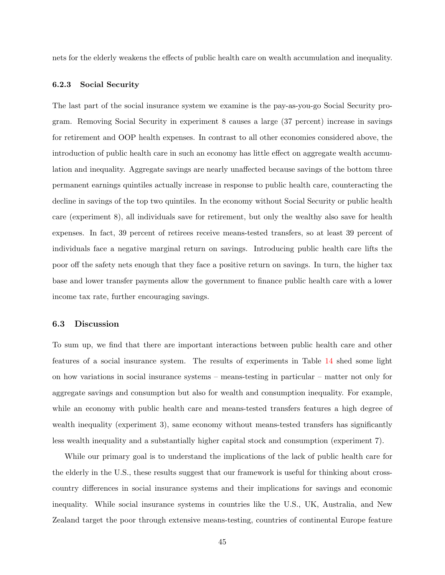nets for the elderly weakens the effects of public health care on wealth accumulation and inequality.

#### **6.2.3 Social Security**

The last part of the social insurance system we examine is the pay-as-you-go Social Security program. Removing Social Security in experiment 8 causes a large (37 percent) increase in savings for retirement and OOP health expenses. In contrast to all other economies considered above, the introduction of public health care in such an economy has little effect on aggregate wealth accumulation and inequality. Aggregate savings are nearly unaffected because savings of the bottom three permanent earnings quintiles actually increase in response to public health care, counteracting the decline in savings of the top two quintiles. In the economy without Social Security or public health care (experiment 8), all individuals save for retirement, but only the wealthy also save for health expenses. In fact, 39 percent of retirees receive means-tested transfers, so at least 39 percent of individuals face a negative marginal return on savings. Introducing public health care lifts the poor off the safety nets enough that they face a positive return on savings. In turn, the higher tax base and lower transfer payments allow the government to finance public health care with a lower income tax rate, further encouraging savings.

#### **6.3 Discussion**

To sum up, we find that there are important interactions between public health care and other features of a social insurance system. The results of experiments in Table 14 shed some light on how variations in social insurance systems – means-testing in particular – matter not only for aggregate savings and consumption but also for wealth and consumption inequality. For example, while an economy with public health care and means-tested transfers features a high degree of wealth inequality (experiment 3), same economy without means-tested transfers has significantly less wealth inequality and a substantially higher capital stock and consumption (experiment 7).

While our primary goal is to understand the implications of the lack of public health care for the elderly in the U.S., these results suggest that our framework is useful for thinking about crosscountry differences in social insurance systems and their implications for savings and economic inequality. While social insurance systems in countries like the U.S., UK, Australia, and New Zealand target the poor through extensive means-testing, countries of continental Europe feature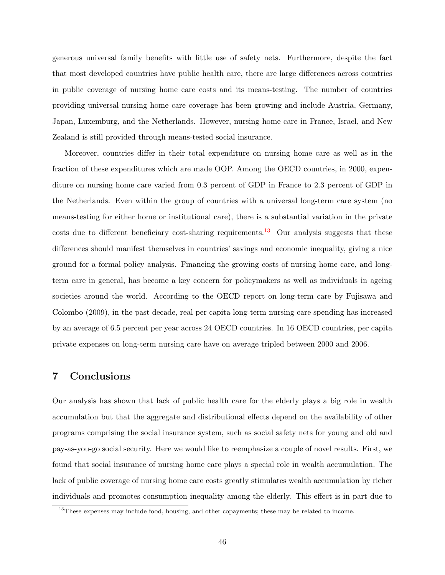generous universal family benefits with little use of safety nets. Furthermore, despite the fact that most developed countries have public health care, there are large differences across countries in public coverage of nursing home care costs and its means-testing. The number of countries providing universal nursing home care coverage has been growing and include Austria, Germany, Japan, Luxemburg, and the Netherlands. However, nursing home care in France, Israel, and New Zealand is still provided through means-tested social insurance.

Moreover, countries differ in their total expenditure on nursing home care as well as in the fraction of these expenditures which are made OOP. Among the OECD countries, in 2000, expenditure on nursing home care varied from 0.3 percent of GDP in France to 2.3 percent of GDP in the Netherlands. Even within the group of countries with a universal long-term care system (no means-testing for either home or institutional care), there is a substantial variation in the private costs due to different beneficiary cost-sharing requirements.<sup>13</sup> Our analysis suggests that these differences should manifest themselves in countries' savings and economic inequality, giving a nice ground for a formal policy analysis. Financing the growing costs of nursing home care, and longterm care in general, has become a key concern for policymakers as well as individuals in ageing societies around the world. According to the OECD report on long-term care by Fujisawa and Colombo (2009), in the past decade, real per capita long-term nursing care spending has increased by an average of 6.5 percent per year across 24 OECD countries. In 16 OECD countries, per capita private expenses on long-term nursing care have on average tripled between 2000 and 2006.

# **7 Conclusions**

Our analysis has shown that lack of public health care for the elderly plays a big role in wealth accumulation but that the aggregate and distributional effects depend on the availability of other programs comprising the social insurance system, such as social safety nets for young and old and pay-as-you-go social security. Here we would like to reemphasize a couple of novel results. First, we found that social insurance of nursing home care plays a special role in wealth accumulation. The lack of public coverage of nursing home care costs greatly stimulates wealth accumulation by richer individuals and promotes consumption inequality among the elderly. This effect is in part due to

<sup>&</sup>lt;sup>13</sup>These expenses may include food, housing, and other copayments; these may be related to income.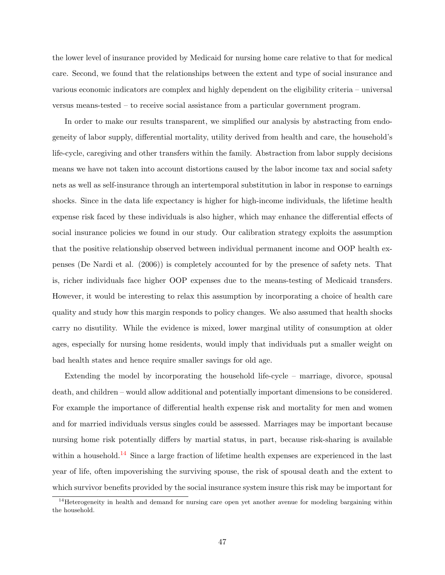the lower level of insurance provided by Medicaid for nursing home care relative to that for medical care. Second, we found that the relationships between the extent and type of social insurance and various economic indicators are complex and highly dependent on the eligibility criteria – universal versus means-tested – to receive social assistance from a particular government program.

In order to make our results transparent, we simplified our analysis by abstracting from endogeneity of labor supply, differential mortality, utility derived from health and care, the household's life-cycle, caregiving and other transfers within the family. Abstraction from labor supply decisions means we have not taken into account distortions caused by the labor income tax and social safety nets as well as self-insurance through an intertemporal substitution in labor in response to earnings shocks. Since in the data life expectancy is higher for high-income individuals, the lifetime health expense risk faced by these individuals is also higher, which may enhance the differential effects of social insurance policies we found in our study. Our calibration strategy exploits the assumption that the positive relationship observed between individual permanent income and OOP health expenses (De Nardi et al. (2006)) is completely accounted for by the presence of safety nets. That is, richer individuals face higher OOP expenses due to the means-testing of Medicaid transfers. However, it would be interesting to relax this assumption by incorporating a choice of health care quality and study how this margin responds to policy changes. We also assumed that health shocks carry no disutility. While the evidence is mixed, lower marginal utility of consumption at older ages, especially for nursing home residents, would imply that individuals put a smaller weight on bad health states and hence require smaller savings for old age.

Extending the model by incorporating the household life-cycle – marriage, divorce, spousal death, and children – would allow additional and potentially important dimensions to be considered. For example the importance of differential health expense risk and mortality for men and women and for married individuals versus singles could be assessed. Marriages may be important because nursing home risk potentially differs by martial status, in part, because risk-sharing is available within a household.<sup>14</sup> Since a large fraction of lifetime health expenses are experienced in the last year of life, often impoverishing the surviving spouse, the risk of spousal death and the extent to which survivor benefits provided by the social insurance system insure this risk may be important for

<sup>&</sup>lt;sup>14</sup>Heterogeneity in health and demand for nursing care open yet another avenue for modeling bargaining within the household.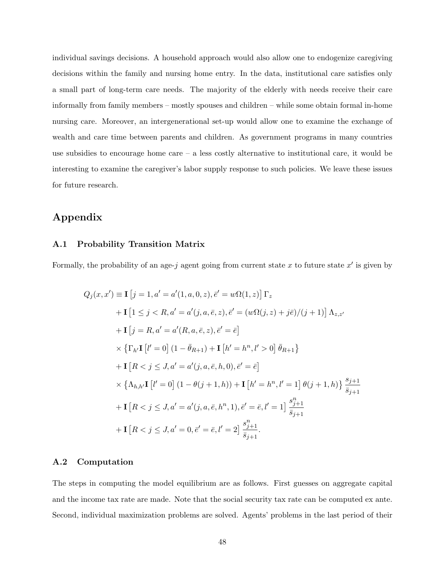individual savings decisions. A household approach would also allow one to endogenize caregiving decisions within the family and nursing home entry. In the data, institutional care satisfies only a small part of long-term care needs. The majority of the elderly with needs receive their care informally from family members – mostly spouses and children – while some obtain formal in-home nursing care. Moreover, an intergenerational set-up would allow one to examine the exchange of wealth and care time between parents and children. As government programs in many countries use subsidies to encourage home care – a less costly alternative to institutional care, it would be interesting to examine the caregiver's labor supply response to such policies. We leave these issues for future research.

# **Appendix**

#### **A.1 Probability Transition Matrix**

Formally, the probability of an age- $j$  agent going from current state  $x$  to future state  $x'$  is given by

$$
Q_j(x, x') \equiv \mathbf{I} [j = 1, a' = a'(1, a, 0, z), \bar{e}' = w\Omega(1, z)] \Gamma_z
$$
  
+  $\mathbf{I} [1 \leq j < R, a' = a'(j, a, \bar{e}, z), \bar{e}' = (w\Omega(j, z) + j\bar{e})/(j + 1)] \Lambda_{z, z'}$   
+  $\mathbf{I} [j = R, a' = a'(R, a, \bar{e}, z), \bar{e}' = \bar{e}]$   
 $\times \{\Gamma_{h'}\mathbf{I} [l' = 0] (1 - \bar{\theta}_{R+1}) + \mathbf{I} [h' = h^n, l' > 0] \bar{\theta}_{R+1}\}$   
+  $\mathbf{I} [R < j \leq J, a' = a'(j, a, \bar{e}, h, 0), \bar{e}' = \bar{e}]$   
 $\times \{\Lambda_{h,h'}\mathbf{I} [l' = 0] (1 - \theta(j + 1, h)) + \mathbf{I} [h' = h^n, l' = 1] \theta(j + 1, h)\} \frac{s_{j+1}}{\bar{s}_{j+1}}$   
+  $\mathbf{I} [R < j \leq J, a' = a'(j, a, \bar{e}, h^n, 1), \bar{e}' = \bar{e}, l' = 1] \frac{s_{j+1}^n}{\bar{s}_{j+1}}$   
+  $\mathbf{I} [R < j \leq J, a' = 0, \bar{e}' = \bar{e}, l' = 2] \frac{s_{j+1}^n}{\bar{s}_{j+1}}.$ 

#### **A.2 Computation**

The steps in computing the model equilibrium are as follows. First guesses on aggregate capital and the income tax rate are made. Note that the social security tax rate can be computed ex ante. Second, individual maximization problems are solved. Agents' problems in the last period of their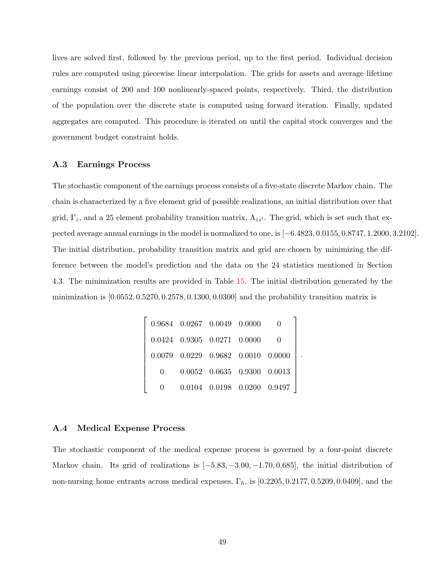lives are solved first, followed by the previous period, up to the first period. Individual decision rules are computed using piecewise linear interpolation. The grids for assets and average lifetime earnings consist of 200 and 100 nonlinearly-spaced points, respectively. Third, the distribution of the population over the discrete state is computed using forward iteration. Finally, updated aggregates are computed. This procedure is iterated on until the capital stock converges and the government budget constraint holds.

#### **A.3 Earnings Process**

The stochastic component of the earnings process consists of a five-state discrete Markov chain. The chain is characterized by a five element grid of possible realizations, an initial distribution over that grid,  $\Gamma_z$ , and a 25 element probability transition matrix,  $\Lambda_{zz'}$ . The grid, which is set such that expected average annual earnings in the model is normalized to one, is [*−*6*.*4823*,* 0*.*0155*,* 0*.*8747*,* 1*.*2000*,* 3*.*2102]. The initial distribution, probability transition matrix and grid are chosen by minimizing the difference between the model's prediction and the data on the 24 statistics mentioned in Section 4.3. The minimization results are provided in Table 15. The initial distribution generated by the minimization is [0*.*0552*,* 0*.*5270*,* 0*.*2578*,* 0*.*1300*,* 0*.*0300] and the probability transition matrix is

$$
\left[\begin{array}{cccc} 0.9684 & 0.0267 & 0.0049 & 0.0000 & 0 \\ 0.0424 & 0.9305 & 0.0271 & 0.0000 & 0 \\ 0.0079 & 0.0229 & 0.9682 & 0.0010 & 0.0000 \\ 0 & 0.0052 & 0.0635 & 0.9300 & 0.0013 \\ 0 & 0.0104 & 0.0198 & 0.0200 & 0.9497 \end{array}\right]
$$

*.*

#### **A.4 Medical Expense Process**

The stochastic component of the medical expense process is governed by a four-point discrete Markov chain. Its grid of realizations is [*−*5*.*83*, −*3*.*00*, −*1*.*70*,* 0*.*685], the initial distribution of non-nursing home entrants across medical expenses, Γ*h*, is [0*.*2205*,* 0*.*2177*,* 0*.*5209*,* 0*.*0409], and the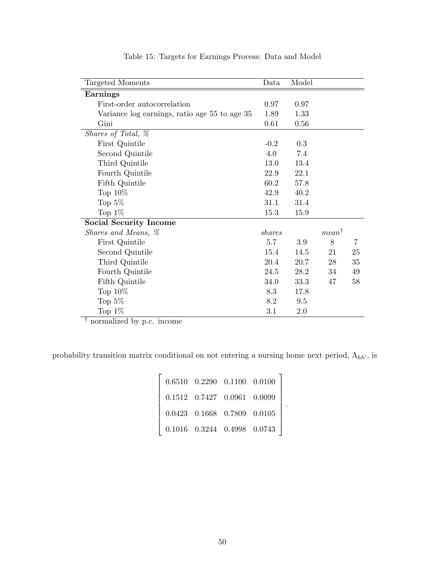| Targeted Moments                              | Data    | Model |                  |    |
|-----------------------------------------------|---------|-------|------------------|----|
| Earnings                                      |         |       |                  |    |
| First-order autocorrelation                   | 0.97    | 0.97  |                  |    |
| Variance log earnings, ratio age 55 to age 35 | 1.89    | 1.33  |                  |    |
| Gini                                          | 0.61    | 0.56  |                  |    |
| Shares of Total, %                            |         |       |                  |    |
| First Quintile                                | $-0.2$  | 0.3   |                  |    |
| Second Quintile                               | 4.0     | 7.4   |                  |    |
| Third Quintile                                | 13.0    | 13.4  |                  |    |
| Fourth Quintile                               | 22.9    | 22.1  |                  |    |
| Fifth Quintile                                | 60.2    | 57.8  |                  |    |
| Top $10\%$                                    | 42.9    | 40.2  |                  |    |
| Top $5\%$                                     | 31.1    | 31.4  |                  |    |
| Top $1\%$                                     | 15.3    | 15.9  |                  |    |
| <b>Social Security Income</b>                 |         |       |                  |    |
| Shares and Means, %                           | shares  |       | $mean^{\dagger}$ |    |
| First Quintile                                | 5.7     | 3.9   | 8                | 7  |
| Second Quintile                               | 15.4    | 14.5  | 21               | 25 |
| Third Quintile                                | 20.4    | 20.7  | 28               | 35 |
| Fourth Quintile                               | 24.5    | 28.2  | 34               | 49 |
| Fifth Quintile                                | 34.0    | 33.3  | 47               | 58 |
| Top $10\%$                                    | 8.3     | 17.8  |                  |    |
| Top $5\%$                                     | 8.2     | 9.5   |                  |    |
| Top $1\%$                                     | $3.1\,$ | 2.0   |                  |    |

Table 15: Targets for Earnings Process: Data and Model

*†* normalized by p.c. income

probability transition matrix conditional on not entering a nursing home next period, Λ*hh′*, is

|  | $0.6510\quad 0.2290\quad 0.1100\quad 0.0100$    |  |  |
|--|-------------------------------------------------|--|--|
|  | $0.1512\quad 0.7427\quad 0.0961\quad 0.0099$    |  |  |
|  | $0.0423 \quad 0.1668 \quad 0.7809 \quad 0.0105$ |  |  |
|  | $0.1016 \quad 0.3244 \quad 0.4998 \quad 0.0743$ |  |  |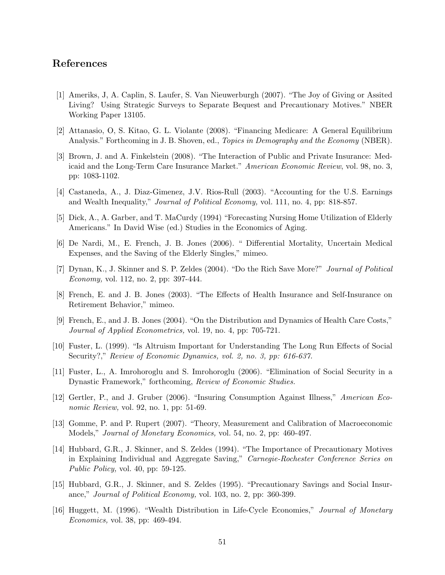# **References**

- [1] Ameriks, J, A. Caplin, S. Laufer, S. Van Nieuwerburgh (2007). "The Joy of Giving or Assited Living? Using Strategic Surveys to Separate Bequest and Precautionary Motives." NBER Working Paper 13105.
- [2] Attanasio, O, S. Kitao, G. L. Violante (2008). "Financing Medicare: A General Equilibrium Analysis." Forthcoming in J. B. Shoven, ed., *Topics in Demography and the Economy* (NBER).
- [3] Brown, J. and A. Finkelstein (2008). "The Interaction of Public and Private Insurance: Medicaid and the Long-Term Care Insurance Market." *American Economic Review*, vol. 98, no. 3, pp: 1083-1102.
- [4] Castaneda, A., J. Diaz-Gimenez, J.V. Rios-Rull (2003). "Accounting for the U.S. Earnings and Wealth Inequality," *Journal of Political Economy,* vol. 111, no. 4, pp: 818-857.
- [5] Dick, A., A. Garber, and T. MaCurdy (1994) "Forecasting Nursing Home Utilization of Elderly Americans." In David Wise (ed.) Studies in the Economics of Aging.
- [6] De Nardi, M., E. French, J. B. Jones (2006). " Differential Mortality, Uncertain Medical Expenses, and the Saving of the Elderly Singles," mimeo.
- [7] Dynan, K., J. Skinner and S. P. Zeldes (2004). "Do the Rich Save More?" *Journal of Political Economy,* vol. 112, no. 2, pp: 397-444.
- [8] French, E. and J. B. Jones (2003). "The Effects of Health Insurance and Self-Insurance on Retirement Behavior," mimeo.
- [9] French, E., and J. B. Jones (2004). "On the Distribution and Dynamics of Health Care Costs," *Journal of Applied Econometrics,* vol. 19, no. 4, pp: 705-721.
- [10] Fuster, L. (1999). "Is Altruism Important for Understanding The Long Run Effects of Social Security?," *Review of Economic Dynamics, vol. 2, no. 3, pp: 616-637.*
- [11] Fuster, L., A. Imrohoroglu and S. Imrohoroglu (2006). "Elimination of Social Security in a Dynastic Framework," forthcoming, *Review of Economic Studies.*
- [12] Gertler, P., and J. Gruber (2006). "Insuring Consumption Against Illness," *American Economic Review,* vol. 92, no. 1, pp: 51-69.
- [13] Gomme, P. and P. Rupert (2007). "Theory, Measurement and Calibration of Macroeconomic Models," *Journal of Monetary Economics,* vol. 54, no. 2, pp: 460-497.
- [14] Hubbard, G.R., J. Skinner, and S. Zeldes (1994). "The Importance of Precautionary Motives in Explaining Individual and Aggregate Saving," *Carnegie-Rochester Conference Series on Public Policy,* vol. 40, pp: 59-125.
- [15] Hubbard, G.R., J. Skinner, and S. Zeldes (1995). "Precautionary Savings and Social Insurance," *Journal of Political Economy,* vol. 103, no. 2, pp: 360-399.
- [16] Huggett, M. (1996). "Wealth Distribution in Life-Cycle Economies," *Journal of Monetary Economics,* vol. 38, pp: 469-494.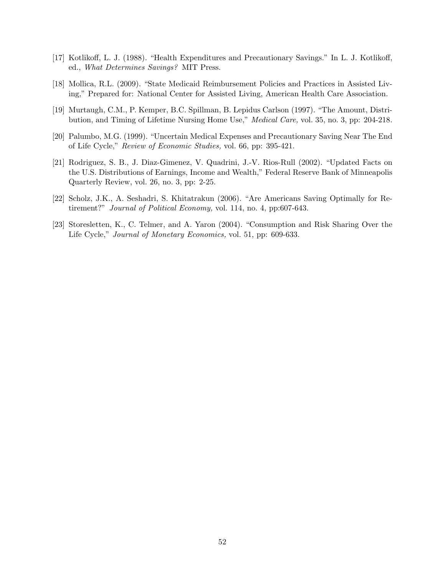- [17] Kotlikoff, L. J. (1988). "Health Expenditures and Precautionary Savings." In L. J. Kotlikoff, ed., *What Determines Savings?* MIT Press.
- [18] Mollica, R.L. (2009). "State Medicaid Reimbursement Policies and Practices in Assisted Living," Prepared for: National Center for Assisted Living, American Health Care Association.
- [19] Murtaugh, C.M., P. Kemper, B.C. Spillman, B. Lepidus Carlson (1997). "The Amount, Distribution, and Timing of Lifetime Nursing Home Use," *Medical Care,* vol. 35, no. 3, pp: 204-218.
- [20] Palumbo, M.G. (1999). "Uncertain Medical Expenses and Precautionary Saving Near The End of Life Cycle," *Review of Economic Studies,* vol. 66, pp: 395-421.
- [21] Rodriguez, S. B., J. Diaz-Gimenez, V. Quadrini, J.-V. Rios-Rull (2002). "Updated Facts on the U.S. Distributions of Earnings, Income and Wealth," Federal Reserve Bank of Minneapolis Quarterly Review, vol. 26, no. 3, pp: 2-25.
- [22] Scholz, J.K., A. Seshadri, S. Khitatrakun (2006). "Are Americans Saving Optimally for Retirement?" *Journal of Political Economy,* vol. 114, no. 4, pp:607-643.
- [23] Storesletten, K., C. Telmer, and A. Yaron (2004). "Consumption and Risk Sharing Over the Life Cycle," *Journal of Monetary Economics,* vol. 51, pp: 609-633.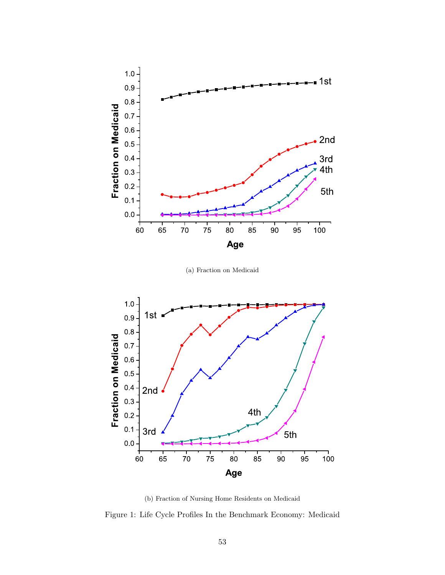

(a) Fraction on Medicaid



(b) Fraction of Nursing Home Residents on Medicaid Figure 1: Life Cycle Profiles In the Benchmark Economy: Medicaid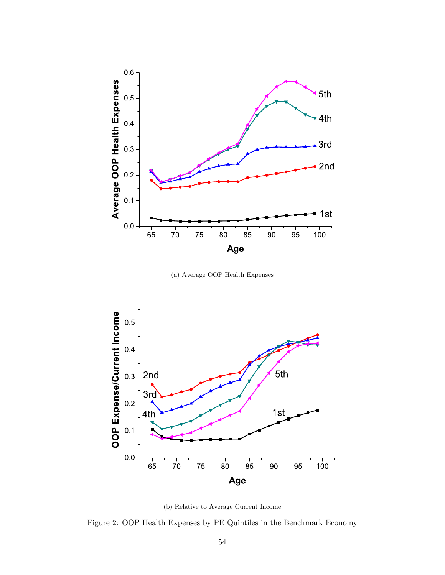

(a) Average OOP Health Expenses



(b) Relative to Average Current Income

Figure 2: OOP Health Expenses by PE Quintiles in the Benchmark Economy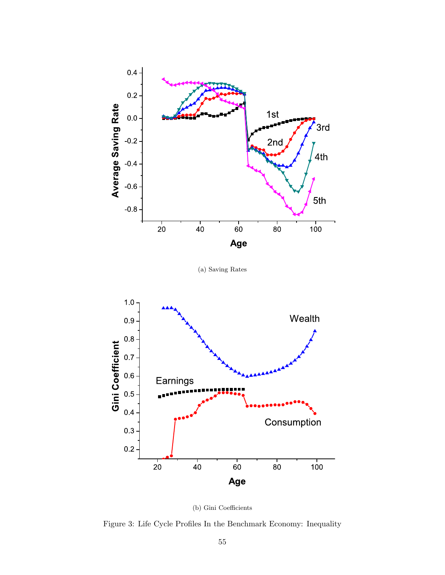

(a) Saving Rates



(b) Gini Coefficients

Figure 3: Life Cycle Profiles In the Benchmark Economy: Inequality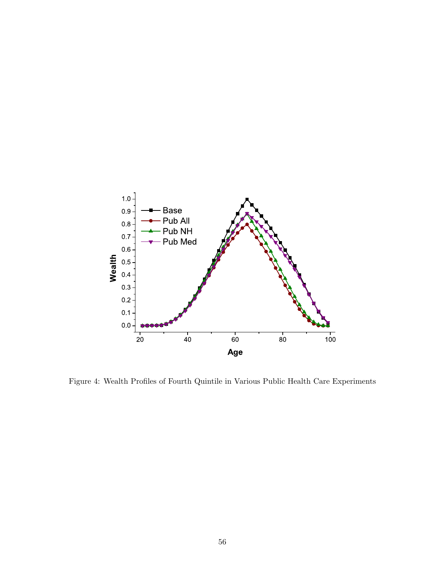

Figure 4: Wealth Profiles of Fourth Quintile in Various Public Health Care Experiments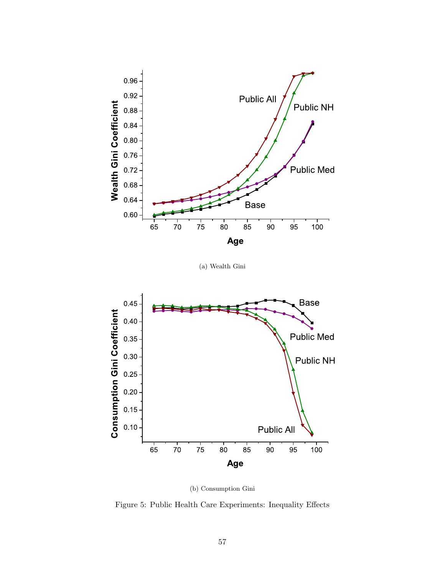

(a) Wealth Gini



(b) Consumption Gini

Figure 5: Public Health Care Experiments: Inequality Effects